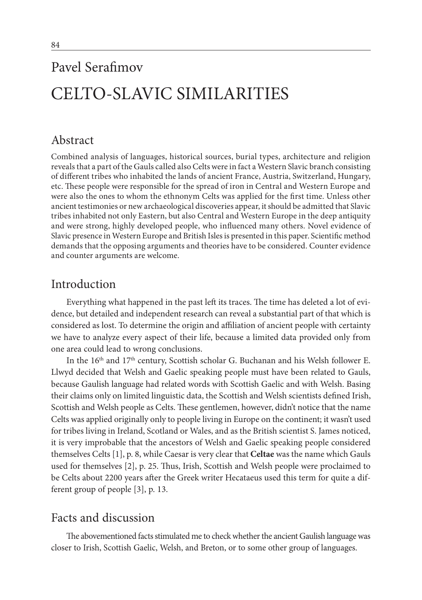# Pavel Serafimov CELTO-SLAVIC SIMILARITIES

# Abstract

Combined analysis of languages, historical sources, burial types, architecture and religion reveals that a part of the Gauls called also Celts were in fact a Western Slavic branch consisting of different tribes who inhabited the lands of ancient France, Austria, Switzerland, Hungary, etc. These people were responsible for the spread of iron in Central and Western Europe and were also the ones to whom the ethnonym Celts was applied for the first time. Unless other ancient testimonies or new archaeological discoveries appear, it should be admitted that Slavic tribes inhabited not only Eastern, but also Central and Western Europe in the deep antiquity and were strong, highly developed people, who influenced many others. Novel evidence of Slavic presence in Western Europe and British Isles is presented in this paper. Scientific method demands that the opposing arguments and theories have to be considered. Counter evidence and counter arguments are welcome.

### Introduction

Everything what happened in the past left its traces. The time has deleted a lot of evidence, but detailed and independent research can reveal a substantial part of that which is considered as lost. To determine the origin and affiliation of ancient people with certainty we have to analyze every aspect of their life, because a limited data provided only from one area could lead to wrong conclusions.

In the  $16^{\rm th}$  and  $17^{\rm th}$  century, Scottish scholar G. Buchanan and his Welsh follower E. Llwyd decided that Welsh and Gaelic speaking people must have been related to Gauls, because Gaulish language had related words with Scottish Gaelic and with Welsh. Basing their claims only on limited linguistic data, the Scottish and Welsh scientists defined Irish, Scottish and Welsh people as Celts. These gentlemen, however, didn't notice that the name Celts was applied originally only to people living in Europe on the continent; it wasn't used for tribes living in Ireland, Scotland or Wales, and as the British scientist S. James noticed, it is very improbable that the ancestors of Welsh and Gaelic speaking people considered themselves Celts [1], p. 8, while Caesar is very clear that **Celtae** was the name which Gauls used for themselves [2], p. 25. Thus, Irish, Scottish and Welsh people were proclaimed to be Celts about 2200 years after the Greek writer Hecataeus used this term for quite a different group of people [3], p. 13.

## Facts and discussion

The abovementioned facts stimulated me to check whether the ancient Gaulish language was closer to Irish, Scottish Gaelic, Welsh, and Breton, or to some other group of languages.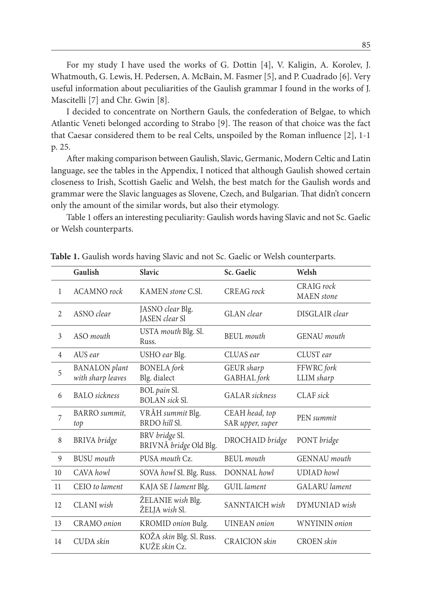For my study I have used the works of G. Dottin [4], V. Kaligin, A. Korolev, J. Whatmouth, G. Lewis, H. Pedersen, A. McBain, M. Fasmer [5], and P. Cuadrado [6]. Very useful information about peculiarities of the Gaulish grammar I found in the works of J. Mascitelli [7] and Chr. Gwin [8].

I decided to concentrate on Northern Gauls, the confederation of Belgae, to which Atlantic Veneti belonged according to Strabo [9]. The reason of that choice was the fact that Caesar considered them to be real Celts, unspoiled by the Roman influence [2], 1-1 p. 25.

After making comparison between Gaulish, Slavic, Germanic, Modern Celtic and Latin language, see the tables in the Appendix, I noticed that although Gaulish showed certain closeness to Irish, Scottish Gaelic and Welsh, the best match for the Gaulish words and grammar were the Slavic languages as Slovene, Czech, and Bulgarian. That didn't concern only the amount of the similar words, but also their etymology.

Table 1 offers an interesting peculiarity: Gaulish words having Slavic and not Sc. Gaelic or Welsh counterparts.

|                | Gaulish                                   | <b>Slavic</b>                             | Sc. Gaelic                         | Welsh                           |
|----------------|-------------------------------------------|-------------------------------------------|------------------------------------|---------------------------------|
| $\mathbf{1}$   | <b>ACAMNO</b> rock                        | KAMEN stone C.Sl.                         | CREAG rock                         | CRAIG rock<br><b>MAEN</b> stone |
| $\overline{2}$ | ASNO clear                                | JASNO clear Blg.<br>JASEN clear Sl        | <b>GLAN</b> clear                  | DISGLAIR clear                  |
| $\overline{3}$ | ASO <i>mouth</i>                          | USTA mouth Blg. Sl.<br>Russ.              | BEUL mouth                         | <b>GENAU</b> mouth              |
| $\overline{4}$ | AUS ear                                   | USHO ear Blg.                             | CLUAS ear                          | CLUST ear                       |
| 5              | <b>BANALON</b> plant<br>with sharp leaves | <b>BONELA</b> fork<br>Blg. dialect        | GEUR sharp<br>GABHAL fork          | FFWRC fork<br>LLIM sharp        |
| 6              | <b>BALO</b> sickness                      | BOL pain Sl.<br><b>BOLAN</b> sick Sl.     | <b>GALAR</b> sickness              | $CLAF$ sick                     |
| 7              | <b>BARRO</b> summit,<br>top               | VRĂH summit Blg.<br>BRDO hill Sl.         | CEAH head, top<br>SAR upper, super | PEN summit                      |
| 8              | <b>BRIVA</b> bridge                       | BRV bridge Sl.<br>BRIVNĂ bridge Old Blg.  | DROCHAID bridge                    | PONT bridge                     |
| 9              | <b>BUSU</b> mouth                         | PUSA mouth Cz.                            | <b>BEUL</b> mouth                  | GENNAU mouth                    |
| 10             | CAVA howl                                 | SOVA howl Sl. Blg. Russ.                  | DONNAL howl                        | <b>UDIAD</b> howl               |
| 11             | CEIO to lament                            | KAJA SE I lament Blg.                     | <b>GUIL</b> lament                 | <b>GALARU</b> lament            |
| 12             | CLANI wish                                | ŽELANIE wish Blg.<br>ŽELJA wish Sl.       | SANNTAICH wish                     | DYMUNIAD wish                   |
| 13             | CRAMO onion                               | KROMID onion Bulg.                        | <b>UINEAN</b> onion                | WNYININ onion                   |
| 14             | CUDA skin                                 | KOŽA skin Blg. Sl. Russ.<br>KUŽE skin Cz. | <b>CRAICION</b> skin               | <b>CROEN</b> skin               |

**Table 1.** Gaulish words having Slavic and not Sc. Gaelic or Welsh counterparts.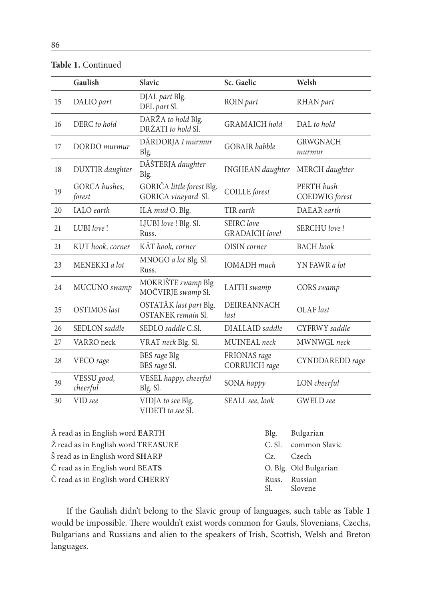|    | Gaulish                         | Slavic                                              | Sc. Gaelic                          | Welsh                        |
|----|---------------------------------|-----------------------------------------------------|-------------------------------------|------------------------------|
| 15 | DALIO part                      | DJAL part Blg.<br>DEL part Sl.                      | ROIN part                           | RHAN part                    |
| 16 | DERC to hold                    | DARŽA to hold Blg.<br>DRŽATI to hold Sl.            | <b>GRAMAICH</b> hold                | $DAL$ to hold                |
| 17 | DORDO murmur                    | DĂRDORJA I murmur<br>Blg.                           | <b>GOBAIR</b> babble                | <b>GRWGNACH</b><br>murmur    |
| 18 | DUXTIR daughter                 | DĂŠTERJA daughter<br>Blg.                           | <b>INGHEAN</b> daughter             | MERCH daughter               |
| 19 | GORCA bushes,<br>forest         | GORIĈA little forest Blg.<br>GORICA vineyard Sl.    | COILLE forest                       | PERTH bush<br>COEDWIG forest |
| 20 | <b>IALO</b> earth               | ILA mud O. Blg.                                     | TIR earth                           | DAEAR earth                  |
| 21 | LUBI love!                      | LJUBI love ! Blg. Sl.<br>Russ.                      | SEIRC love<br><b>GRADAICH</b> love! | SERCHU love!                 |
| 21 | KUT hook, corner                | KĂT hook, corner                                    | OISIN corner                        | <b>BACH</b> hook             |
| 23 | MENEKKI a lot                   | MNOGO a lot Blg. Sl.<br>Russ.                       | <b>IOMADH</b> much                  | YN FAWR a lot                |
| 24 | MUCUNO swamp                    | MOKRIŠTE swamp Blg<br>MOĈVIRJE swamp Sl.            | LAITH swamp                         | CORS swamp                   |
| 25 | <b>OSTIMOS</b> last             | OSTATĂK last part Blg.<br><b>OSTANEK</b> remain Sl. | <b>DEIREANNACH</b><br>last          | OLAF last                    |
| 26 | SEDLON saddle                   | SEDLO saddle C.Sl.                                  | DIALLAID saddle                     | CYFRWY saddle                |
| 27 | VARRO neck                      | VRAT neck Blg. Sl.                                  | MUINEAL neck                        | MWNWGL neck                  |
| 28 | VECO rage                       | BES rage Blg<br>BES rage Sl.                        | FRIONAS rage<br>CORRUICH rage       | CYNDDAREDD rage              |
| 39 | VESSU good,<br>cheerful         | VESEL happy, cheerful<br>Blg. Sl.                   | SONA happy                          | LON cheerful                 |
| 30 | VID see                         | VIDJA to see Blg.<br>VIDETI to see Sl.              | SEALL see, look                     | GWELD see                    |
|    | Å read as in English word EARTH |                                                     | Blg.                                | Bulgarian                    |

**Table 1.** Continued

Ž read as in English word TREA**S**URE C. Sl. common Slavic Š read as in English word **SH**ARP Cz. Czech Ĉ read as in English word BEA**TS** O. Blg. Old Bulgarian Č read as in English word **CH**ERRY Russ. Russian

Slovene

If the Gaulish didn't belong to the Slavic group of languages, such table as Table 1 would be impossible. There wouldn't exist words common for Gauls, Slovenians, Czechs, Bulgarians and Russians and alien to the speakers of Irish, Scottish, Welsh and Breton languages.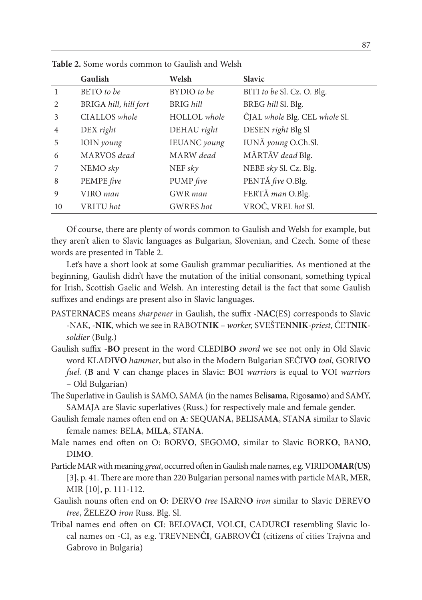|                | Gaulish               | Welsh            | <b>Slavic</b>                 |
|----------------|-----------------------|------------------|-------------------------------|
| 1              | BETO to be            | BYDIO to be      | BITI to be Sl. Cz. O. Blg.    |
| $\mathfrak{D}$ | BRIGA hill, hill fort | BRIG hill        | BREG hill Sl. Blg.            |
| 3              | CIALLOS whole         | HOLLOL whole     | CJAL whole Blg. CEL whole Sl. |
| 4              | DEX right             | DEHAU right      | DESEN right Blg Sl            |
| 5              | IOIN young            | IEUANC young     | IUNĂ young O.Ch.Sl.           |
| 6              | MARVOS dead           | MARW dead        | MĂRTĂV dead Blg.              |
| 7              | NEMO sky              | NEF sky          | NEBE sky Sl. Cz. Blg.         |
| 8              | PEMPE five            | PUMP five        | PENTĂ five O.Blg.             |
| 9              | VIRO man              | GWR man          | FERTĂ man O.Blg.              |
| 10             | VRITU hot             | <b>GWRES</b> hot | VROĈ, VREL hot Sl.            |

**Table 2.** Some words common to Gaulish and Welsh

Of course, there are plenty of words common to Gaulish and Welsh for example, but they aren't alien to Slavic languages as Bulgarian, Slovenian, and Czech. Some of these words are presented in Table 2.

Let's have a short look at some Gaulish grammar peculiarities. As mentioned at the beginning, Gaulish didn't have the mutation of the initial consonant, something typical for Irish, Scottish Gaelic and Welsh. An interesting detail is the fact that some Gaulish suffixes and endings are present also in Slavic languages.

- PASTER**NAC**ES means *sharpener* in Gaulish, the suffix -**NAC**(ES) corresponds to Slavic -NAK, -**NIK**, which we see in RABOT**NIK** – *worker,* SVEŠTEN**NIK**-*priest*, ČET**NIK***soldier* (Bulg.)
- Gaulish suffix -**BO** present in the word CLEDI**BO** *sword* we see not only in Old Slavic word KLADI**VO** *hammer*, but also in the Modern Bulgarian SEČI**VO** *tool*, GORI**VO** *fuel.* (**B** and **V** can change places in Slavic: **B**OI *warriors* is equal to **V**OI *warriors* – Old Bulgarian)
- The Superlative in Gaulish is SAMO, SAMA (in the names Beli**sama**, Rigo**samo**) and SAMY, SAMAJA are Slavic superlatives (Russ.) for respectively male and female gender.
- Gaulish female names often end on **A**: SEQUAN**A**, BELISAM**A**, STAN**A** similar to Slavic female names: BEL**A**, MI**LA**, STAN**A**.
- Male names end often on O: BORV**O**, SEGOM**O**, similar to Slavic BORK**O**, BAN**O**, DIM**O**.
- Particle MAR with meaning *great*, occurred often in Gaulish male names, e.g. VIRIDO**MAR(US)** [3], p. 41. There are more than 220 Bulgarian personal names with particle MAR, MER, MIR [10], p. 111-112.
- Gaulish nouns often end on **O**: DERV**O** *tree* ISARN**O** *iron* similar to Slavic DEREV**O** *tree*, ŽELEZ**O** *iron* Russ. Blg. Sl.
- Tribal names end often on **CI**: BELOVA**CI**, VOL**CI**, CADUR**CI** resembling Slavic local names on -CI, as e.g. TREVNEN**ĈI**, GABROV**ĈI** (citizens of cities Trajvna and Gabrovo in Bulgaria)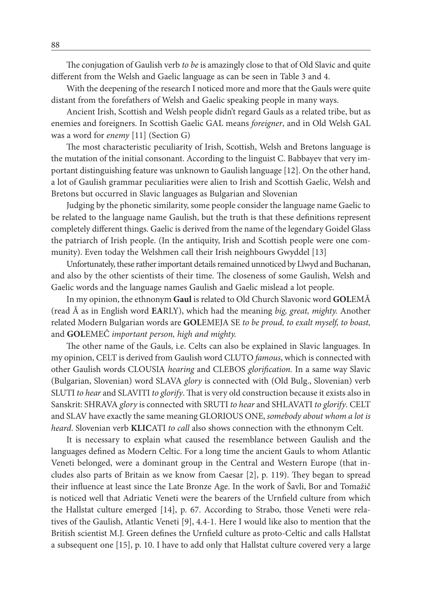The conjugation of Gaulish verb *to be* is amazingly close to that of Old Slavic and quite different from the Welsh and Gaelic language as can be seen in Table 3 and 4.

With the deepening of the research I noticed more and more that the Gauls were quite distant from the forefathers of Welsh and Gaelic speaking people in many ways.

Ancient Irish, Scottish and Welsh people didn't regard Gauls as a related tribe, but as enemies and foreigners. In Scottish Gaelic GAL means *foreigner*, and in Old Welsh GAL was a word for *enemy* [11] (Section G)

The most characteristic peculiarity of Irish, Scottish, Welsh and Bretons language is the mutation of the initial consonant. According to the linguist C. Babbayev that very important distinguishing feature was unknown to Gaulish language [12]. On the other hand, a lot of Gaulish grammar peculiarities were alien to Irish and Scottish Gaelic, Welsh and Bretons but occurred in Slavic languages as Bulgarian and Slovenian

Judging by the phonetic similarity, some people consider the language name Gaelic to be related to the language name Gaulish, but the truth is that these definitions represent completely different things. Gaelic is derived from the name of the legendary Goidel Glass the patriarch of Irish people. (In the antiquity, Irish and Scottish people were one community). Even today the Welshmen call their Irish neighbours Gwyddel [13]

Unfortunately, these rather important details remained unnoticed by Llwyd and Buchanan, and also by the other scientists of their time. The closeness of some Gaulish, Welsh and Gaelic words and the language names Gaulish and Gaelic mislead a lot people.

In my opinion, the ethnonym **Gaul** is related to Old Church Slavonic word **GOL**EMĂ (read Ă as in English word **EA**RLY), which had the meaning *big, great, mighty.* Another related Modern Bulgarian words are **GOL**EMEJA SE *to be proud, to exalt myself, to boast,* and **GOL**EMEĈ *important person, high and mighty.*

The other name of the Gauls, i.e. Celts can also be explained in Slavic languages. In my opinion, CELT is derived from Gaulish word CLUTO *famous*, which is connected with other Gaulish words CLOUSIA *hearing* and CLEBOS *glorification.* In a same way Slavic (Bulgarian, Slovenian) word SLAVA *glory* is connected with (Old Bulg., Slovenian) verb SLUTI *to hear* and SLAVITI *to glorify*. That is very old construction because it exists also in Sanskrit: SHRAVA *glory* is connected with SRUTI *to hear* and SHLAVATI *to glorify*. CELT and SLAV have exactly the same meaning GLORIOUS ONE, *somebody about whom a lot is heard*. Slovenian verb **KLIC**ATI *to call* also shows connection with the ethnonym Celt.

It is necessary to explain what caused the resemblance between Gaulish and the languages defined as Modern Celtic. For a long time the ancient Gauls to whom Atlantic Veneti belonged, were a dominant group in the Central and Western Europe (that includes also parts of Britain as we know from Caesar [2], p. 119). They began to spread their influence at least since the Late Bronze Age. In the work of Šavli, Bor and Tomažič is noticed well that Adriatic Veneti were the bearers of the Urnfield culture from which the Hallstat culture emerged [14], p. 67. According to Strabo, those Veneti were relatives of the Gaulish, Atlantic Veneti [9], 4.4-1. Here I would like also to mention that the British scientist M.J. Green defines the Urnfield culture as proto-Celtic and calls Hallstat a subsequent one [15], p. 10. I have to add only that Hallstat culture covered very a large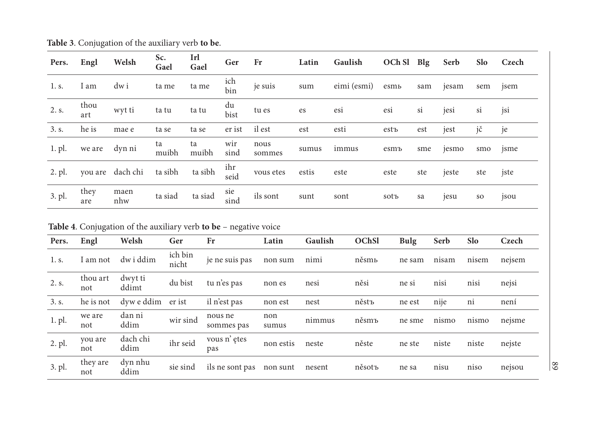| Pers.  | Engl        | Welsh            | Sc.<br>Gael | Irl<br>Gael | Ger         | Fr             | Latin | Gaulish     | OCh Sl Blg |     | Serb  | Slo       | Czech            |
|--------|-------------|------------------|-------------|-------------|-------------|----------------|-------|-------------|------------|-----|-------|-----------|------------------|
| 1. s.  | I am        | dw i             | ta me       | ta me       | ich<br>bin  | je suis        | sum   | eimi (esmi) | esmь       | sam | jesam | sem       | jsem             |
| 2. s.  | thou<br>art | wyt ti           | ta tu       | ta tu       | du<br>bist  | tu es          | es    | esi         | esi        | si  | jesi  | si        | jsi              |
| 3. s.  | he is       | mae e            | ta se       | ta se       | er ist      | il est         | est   | esti        | estъ       | est | jest  | jč        | je               |
| 1. pl. | we are      | dyn ni           | ta<br>muibh | ta<br>muibh | wir<br>sind | nous<br>sommes | sumus | immus       | esmъ       | sme | jesmo | smo       | <sub>1</sub> sme |
| 2. pl. |             | you are dach chi | ta sibh     | ta sibh     | ihr<br>seid | vous etes      | estis | este        | este       | ste | jeste | ste       | jste             |
| 3. pl. | they<br>are | maen<br>nhw      | ta siad     | ta siad     | sie<br>sind | ils sont       | sunt  | sont        | sotъ       | sa  | jesu  | <b>SO</b> | jsou             |

**Table 3**. Conjugation of the auxiliary verb **to be**.

**Table 4**. Conjugation of the auxiliary verb **to be** – negative voice

| Pers.  | Engl            | Welsh            | Ger              | Fr                    | Latin        | Gaulish | <b>OChSl</b> | <b>Bulg</b> | Serb  | <b>Slo</b> | Czech  |
|--------|-----------------|------------------|------------------|-----------------------|--------------|---------|--------------|-------------|-------|------------|--------|
| 1. s.  | í am not        | dw i ddim        | ich bin<br>nicht | je ne suis pas        | non sum      | nimi    | něsmь        | ne sam      | nisam | nisem      | nejsem |
| 2. s.  | thou art<br>not | dwyt ti<br>ddimt | du bist          | tu n'es pas           | non es       | nesi    | něsi         | ne si       | nisi  | nisi       | nejsi  |
| 3. s.  | he is not       | dyw e ddim       | er ist           | il n'est pas          | non est      | nest    | něstъ        | ne est      | nije  | ni         | není   |
| 1. pl. | we are<br>not   | dan ni<br>ddim   | wir sind         | nous ne<br>sommes pas | non<br>sumus | nimmus  | něsmъ        | ne sme      | nismo | nismo      | nejsme |
| 2. pl. | you are<br>not  | dach chi<br>ddim | ihr seid         | vous n'etes<br>pas    | non estis    | neste   | něste        | ne ste      | niste | niste      | nejste |
| 3. pl. | they are<br>not | dyn nhu<br>ddim  | sie sind         | ils ne sont pas       | non sunt     | nesent  | něsotъ       | ne sa       | nisu  | niso       | nejsou |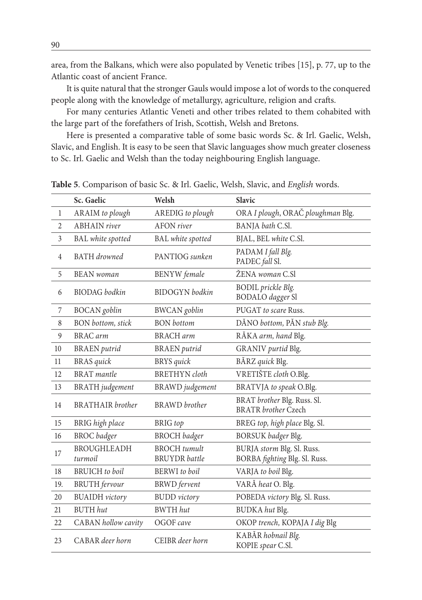area, from the Balkans, which were also populated by Venetic tribes [15], p. 77, up to the Atlantic coast of ancient France.

It is quite natural that the stronger Gauls would impose a lot of words to the conquered people along with the knowledge of metallurgy, agriculture, religion and crafts.

For many centuries Atlantic Veneti and other tribes related to them cohabited with the large part of the forefathers of Irish, Scottish, Welsh and Bretons.

Here is presented a comparative table of some basic words Sc. & Irl. Gaelic, Welsh, Slavic, and English. It is easy to be seen that Slavic languages show much greater closeness to Sc. Irl. Gaelic and Welsh than the today neighbouring English language.

|                | Sc. Gaelic                    | Welsh                                       | Slavic                                                      |
|----------------|-------------------------------|---------------------------------------------|-------------------------------------------------------------|
| $\mathbf{1}$   | ARAIM to plough               | AREDIG to plough                            | ORA I plough, ORAČ ploughman Blg.                           |
| 2              | <b>ABHAIN</b> river           | <b>AFON</b> river                           | BANJA bath C.Sl.                                            |
| $\overline{3}$ | <b>BAL</b> white spotted      | <b>BAL</b> white spotted                    | BJAL, BEL white C.Sl.                                       |
| $\overline{4}$ | <b>BATH</b> drowned           | PANTIOG sunken                              | PADAM I fall Blg.<br>PADEC fall Sl.                         |
| 5              | <b>BEAN</b> woman             | <b>BENYW</b> female                         | ŽENA woman C.Sl                                             |
| 6              | <b>BIODAG</b> bodkin          | <b>BIDOGYN</b> bodkin                       | <b>BODIL</b> prickle Blg.<br><b>BODALO</b> dagger Sl        |
| 7              | <b>BOCAN</b> goblin           | <b>BWCAN</b> goblin                         | PUGAT to scare Russ.                                        |
| 8              | <b>BON</b> bottom, stick      | <b>BON</b> bottom                           | DĂNO bottom, PĂN stub Blg.                                  |
| 9              | BRAC arm                      | <b>BRACH</b> arm                            | RĂKA arm, hand Blg.                                         |
| 10             | <b>BRAEN</b> putrid           | <b>BRAEN</b> putrid                         | GRANIV purtid Blg.                                          |
| 11             | <b>BRAS</b> quick             | <b>BRYS</b> quick                           | BĂRZ quick Blg.                                             |
| 12             | <b>BRAT</b> mantle            | <b>BRETHYN</b> cloth                        | VRETIŠTE cloth O.Blg.                                       |
| 13             | <b>BRATH</b> judgement        | <b>BRAWD</b> judgement                      | BRATVJA to speak O.Blg.                                     |
| 14             | BRATHAIR brother              | BRAWD brother                               | BRAT brother Blg. Russ. Sl.<br><b>BRATR</b> brother Czech   |
| 15             | <b>BRIG</b> high place        | <b>BRIG</b> top                             | BREG top, high place Blg. Sl.                               |
| 16             | <b>BROC</b> badger            | <b>BROCH</b> badger                         | BORSUK badger Blg.                                          |
| 17             | <b>BROUGHLEADH</b><br>turmoil | <b>BROCH</b> tumult<br><b>BRUYDR</b> battle | BURJA storm Blg. Sl. Russ.<br>BORBA fighting Blg. Sl. Russ. |
| 18             | <b>BRUICH</b> to boil         | <b>BERWI</b> to boil                        | VARJA to boil Blg.                                          |
| 19.            | <b>BRUTH</b> fervour          | <b>BRWD</b> fervent                         | VARĂ heat O. Blg.                                           |
| 20             | <b>BUAIDH</b> victory         | <b>BUDD</b> victory                         | POBEDA victory Blg. Sl. Russ.                               |
| 21             | <b>BUTH</b> hut               | <b>BWTH</b> hut                             | <b>BUDKA</b> hut Blg.                                       |
| 22             | CABAN hollow cavity           | OGOF cave                                   | OKOP trench, KOPAJA I dig Blg                               |
| 23             | CABAR deer horn               | CEIBR deer horn                             | KABĂR hobnail Blg.<br>KOPIE spear C.Sl.                     |

**Table 5**. Comparison of basic Sc. & Irl. Gaelic, Welsh, Slavic, and *English* words.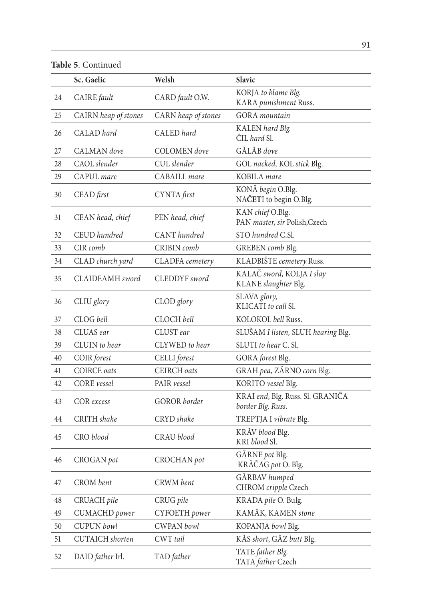**Table 5**. Continued

|    | Sc. Gaelic             | Welsh               | Slavic                                                |
|----|------------------------|---------------------|-------------------------------------------------------|
| 24 | CAIRE fault            | CARD fault O.W.     | KORJA to blame Blg.<br>KARA punishment Russ.          |
| 25 | CAIRN heap of stones   | CARN heap of stones | <b>GORA</b> mountain                                  |
| 26 | CALAD hard             | CALED hard          | KALEN hard Blg.<br>ČIL hard Sl.                       |
| 27 | CALMAN dove            | COLOMEN dove        | GĂLĂB dove                                            |
| 28 | CAOL slender           | CUL slender         | GOL nacked, KOL stick Blg.                            |
| 29 | CAPUL mare             | CABAILL mare        | KOBILA mare                                           |
| 30 | CEAD first             | CYNTA first         | KONĂ begin O.Blg.<br>NAČETI to begin O.Blg.           |
| 31 | CEAN head, chief       | PEN head, chief     | KAN chief O.Blg.<br>PAN master, sir Polish, Czech     |
| 32 | CEUD hundred           | CANT hundred        | STO hundred C.Sl.                                     |
| 33 | CIR comb               | CRIBIN comb         | GREBEN comb Blg.                                      |
| 34 | CLAD church yard       | CLADFA cemetery     | KLADBIŠTE cemetery Russ.                              |
| 35 | CLAIDEAMH sword        | CLEDDYF sword       | KALAČ sword, KOLJA I slay<br>KLANE slaughter Blg.     |
| 36 | CLIU glory             | CLOD glory          | SLAVA glory,<br>KLICATI to call Sl.                   |
| 37 | CLOG bell              | CLOCH bell          | KOLOKOL bell Russ.                                    |
| 38 | CLUAS ear              | CLUST ear           | SLUŠAM I listen, SLUH hearing Blg.                    |
| 39 | CLUIN to hear          | CLYWED to hear      | SLUTI to hear C. Sl.                                  |
| 40 | COIR forest            | CELLI forest        | GORA forest Blg.                                      |
| 41 | <b>COIRCE</b> oats     | CEIRCH oats         | GRAH pea, ZĂRNO corn Blg.                             |
| 42 | CORE vessel            | PAIR vessel         | KORITO vessel Blg.                                    |
| 43 | COR excess             | GOROR border        | KRAI end, Blg. Russ. Sl. GRANIĈA<br>border Blg. Russ. |
| 44 | <b>CRITH</b> shake     | CRYD shake          | TREPTJA I vibrate Blg.                                |
| 45 | CRO blood              | CRAU blood          | KRĂV blood Blg.<br>KRI blood Sl.                      |
| 46 | CROGAN pot             | CROCHAN pot         | GĂRNE pot Blg.<br>KRĂČAG pot O. Blg.                  |
| 47 | CROM bent              | CRWM bent           | GÅRBAV humped<br>CHROM cripple Czech                  |
| 48 | CRUACH pile            | CRUG pile           | KRADA pile O. Bulg.                                   |
| 49 | CUMACHD power          | CYFOETH power       | KAMĂK, KAMEN stone                                    |
| 50 | CUPUN bowl             | CWPAN bowl          | KOPANJA bowl Blg.                                     |
| 51 | <b>CUTAICH</b> shorten | CWT tail            | KĂS short, GĂZ butt Blg.                              |
| 52 | DAID father Irl.       | TAD father          | TATE father Blg.<br>TATA father Czech                 |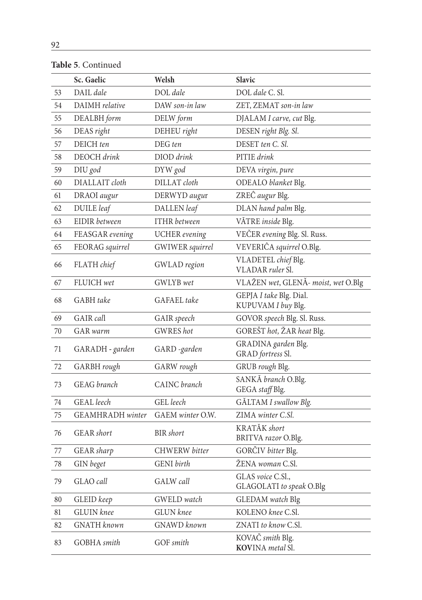|    | Sc. Gaelic              | Welsh                | <b>Slavic</b>                                 |
|----|-------------------------|----------------------|-----------------------------------------------|
| 53 | DAIL dale               | DOL dale             | DOL dale C. Sl.                               |
| 54 | DAIMH relative          | DAW son-in law       | ZET, ZEMAT son-in law                         |
| 55 | DEALBH form             | DELW form            | DJALAM I carve, cut Blg.                      |
| 56 | DEAS right              | DEHEU right          | DESEN right Blg. Sl.                          |
| 57 | DEICH ten               | DEG ten              | DESET ten C. Sl.                              |
| 58 | DEOCH drink             | DIOD drink           | PITIE drink                                   |
| 59 | DIU god                 | DYW god              | DEVA virgin, pure                             |
| 60 | DIALLAIT cloth          | DILLAT cloth         | ODEALO blanket Blg.                           |
| 61 | DRAOI augur             | DERWYD augur         | ZREĈ augur Blg.                               |
| 62 | DUILE leaf              | DALLEN leaf          | DLAN hand palm Blg.                           |
| 63 | EIDIR between           | <b>ITHR</b> between  | VĂTRE inside Blg.                             |
| 64 | FEASGAR evening         | <b>UCHER</b> evening | VEČER evening Blg. Sl. Russ.                  |
| 65 | FEORAG squirrel         | GWIWER squirrel      | VEVERIĈA squirrel O.Blg.                      |
| 66 | FLATH chief             | <b>GWLAD</b> region  | VLADETEL chief Blg.<br>VLADAR ruler Sl.       |
| 67 | FLUICH wet              | GWLYB wet            | VLAŽEN wet, GLENĂ- moist, wet O.Blg           |
| 68 | GABH take               | GAFAEL take          | GEPJA I take Blg. Dial.<br>KUPUVAM I buy Blg. |
| 69 | GAIR call               | GAIR speech          | GOVOR speech Blg. Sl. Russ.                   |
| 70 | <b>GAR</b> warm         | <b>GWRES</b> hot     | GOREŠT hot, ŽAR heat Blg.                     |
| 71 | GARADH - garden         | GARD -garden         | GRADINA garden Blg.<br>GRAD fortress Sl.      |
| 72 | GARBH rough             | GARW rough           | GRUB rough Blg.                               |
| 73 | <b>GEAG</b> branch      | CAINC branch         | SANKĂ branch O.Blg.<br>GEGA staff Blg.        |
| 74 | <b>GEAL</b> leech       | GEL leech            | GĂLTAM I swallow Blg.                         |
| 75 | <b>GEAMHRADH</b> winter | GAEM winter O.W.     | ZIMA winter C.Sl.                             |
| 76 | GEAR short              | <b>BIR</b> short     | KRATĂK short<br>BRITVA razor O.Blg.           |
| 77 | GEAR sharp              | CHWERW bitter        | GORČIV bitter Blg.                            |
| 78 | GIN beget               | <b>GENI</b> birth    | ŽENA woman C.Sl.                              |
| 79 | GLAO call               | GALW call            | GLAS voice C.Sl.,<br>GLAGOLATI to speak O.Blg |
| 80 | GLEID keep              | GWELD watch          | GLEDAM watch Blg                              |
| 81 | <b>GLUIN</b> knee       | GLUN knee            | KOLENO knee C.Sl.                             |
| 82 | <b>GNATH</b> known      | GNAWD known          | ZNATI to know C.Sl.                           |
| 83 | GOBHA smith             | GOF smith            | KOVAČ smith Blg.<br>KOVINA metal Sl.          |

**Table 5**. Continued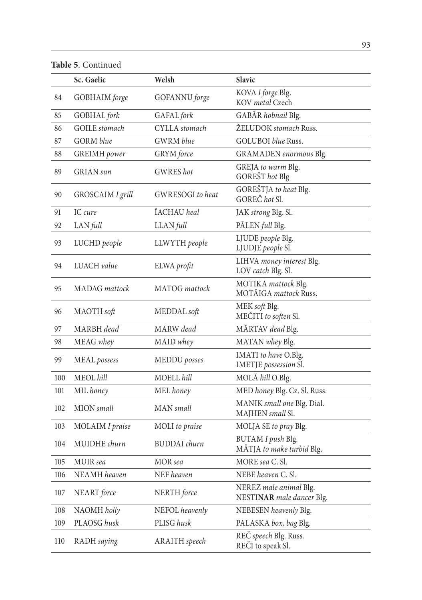**Table 5**. Continued

|     | Sc. Gaelic           | Welsh               | Slavic                                              |
|-----|----------------------|---------------------|-----------------------------------------------------|
| 84  | GOBHAIM forge        | GOFANNU forge       | KOVA I forge Blg.<br>KOV metal Czech                |
| 85  | GOBHAL fork          | GAFAL fork          | GABĂR hobnail Blg.                                  |
| 86  | <b>GOILE</b> stomach | CYLLA stomach       | ŽELUDOK stomach Russ.                               |
| 87  | <b>GORM</b> blue     | <b>GWRM</b> blue    | GOLUBOI blue Russ.                                  |
| 88  | <b>GREIMH</b> power  | GRYM force          | GRAMADEN enormous Blg.                              |
| 89  | <b>GRIAN</b> sun     | <b>GWRES</b> hot    | GREJA to warm Blg.<br>GOREŠT hot Blg                |
| 90  | GROSCAIM I grill     | GWRESOGI to heat    | GOREŠTJA to heat Blg.<br>GOREČ hot Sl.              |
| 91  | IC cure              | ÍACHAU heal         | JAK strong Blg. Sl.                                 |
| 92  | LAN full             | LLAN full           | PĂLEN full Blg.                                     |
| 93  | LUCHD people         | LLWYTH people       | LJUDE people Blg.<br>LJUDJE people Sl.              |
| 94  | LUACH value          | ELWA profit         | LIHVA money interest Blg.<br>LOV catch Blg. Sl.     |
| 95  | MADAG mattock        | MATOG mattock       | MOTIKA mattock Blg.<br>MOTĂIGA mattock Russ.        |
| 96  | MAOTH soft           | MEDDAL soft         | MEK soft Blg.<br>MEČITI to soften Sl.               |
| 97  | MARBH dead           | MARW dead           | MĂRTAV dead Blg.                                    |
| 98  | MEAG whey            | MAID whey           | MATAN whey Blg.                                     |
| 99  | MEAL possess         | MEDDU posses        | IMATI to have O.Blg.<br>IMETJE possession Sl.       |
| 100 | MEOL hill            | MOELL hill          | MOLĂ hill O.Blg.                                    |
| 101 | MIL honey            | MEL honey           | MED honey Blg. Cz. Sl. Russ.                        |
| 102 | MION small           | MAN small           | MANIK small one Blg. Dial.<br>MAJHEN small Sl.      |
| 103 | MOLAIM I praise      | MOLI to praise      | MOLJA SE to pray Blg.                               |
| 104 | MUIDHE churn         | <b>BUDDAI</b> churn | BUTAM I push Blg.<br>MÅTJA to make turbid Blg.      |
| 105 | MUIR sea             | MOR sea             | MORE sea C. Sl.                                     |
| 106 | NEAMH heaven         | NEF heaven          | NEBE heaven C. Sl.                                  |
| 107 | NEART force          | NERTH force         | NEREZ male animal Blg.<br>NESTINAR male dancer Blg. |
| 108 | NAOMH holly          | NEFOL heavenly      | NEBESEN heavenly Blg.                               |
| 109 | PLAOSG husk          | PLISG husk          | PALASKA box, bag Blg.                               |
| 110 | RADH saying          | ARAITH speech       | REČ speech Blg. Russ.<br>REČI to speak Sl.          |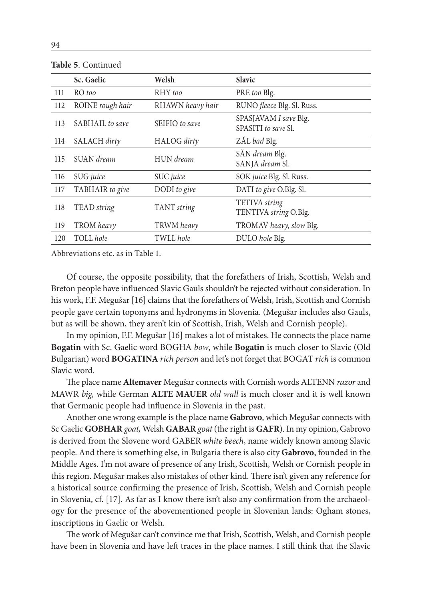|     | Sc. Gaelic       | Welsh            | <b>Slavic</b>                                |
|-----|------------------|------------------|----------------------------------------------|
| 111 | RO too           | RHY too          | PRE too Blg.                                 |
| 112 | ROINE rough hair | RHAWN heavy hair | RUNO fleece Blg. Sl. Russ.                   |
| 113 | SABHAIL to save  | SEIFIO to save   | SPASJAVAM I save Blg.<br>SPASITI to save Sl. |
| 114 | SALACH dirty     | HALOG dirty      | ZÅL bad Blg.                                 |
| 115 | SUAN dream       | HUN dream        | SĂN dream Blg.<br>SANJA dream Sl.            |
| 116 | SUG juice        | SUC juice        | SOK juice Blg. Sl. Russ.                     |
| 117 | TABHAIR to give  | DODI to give     | DATI to give O.Blg. Sl.                      |
| 118 | TEAD string      | TANT string      | TETIVA string<br>TENTIVA string O.Blg.       |
| 119 | TROM heavy       | TRWM heavy       | TROMAV heavy, slow Blg.                      |
| 120 | TOLL hole        | TWLL hole        | DULO hole Blg.                               |
|     |                  |                  |                                              |

**Table 5**. Continued

Abbreviations etc. as in Table 1.

Of course, the opposite possibility, that the forefathers of Irish, Scottish, Welsh and Breton people have influenced Slavic Gauls shouldn't be rejected without consideration. In his work, F.F. Megušar [16] claims that the forefathers of Welsh, Irish, Scottish and Cornish people gave certain toponyms and hydronyms in Slovenia. (Megušar includes also Gauls, but as will be shown, they aren't kin of Scottish, Irish, Welsh and Cornish people).

In my opinion, F.F. Megušar [16] makes a lot of mistakes. He connects the place name **Bogatin** with Sc. Gaelic word BOGHA *bow*, while **Bogatin** is much closer to Slavic (Old Bulgarian) word **BOGATINA** *rich person* and let's not forget that BOGAT *rich* is common Slavic word.

The place name **Altemaver** Megušar connects with Cornish words ALTENN *razor* and MAWR *big,* while German **ALTE MAUER** *old wall* is much closer and it is well known that Germanic people had influence in Slovenia in the past.

Another one wrong example is the place name **Gabrovo**, which Megušar connects with Sc Gaelic **GOBHAR** *goat,* Welsh **GABAR** *goat* (the right is **GAFR**). In my opinion, Gabrovo is derived from the Slovene word GABER *white beech*, name widely known among Slavic people. And there is something else, in Bulgaria there is also city **Gabrovo**, founded in the Middle Ages. I'm not aware of presence of any Irish, Scottish, Welsh or Cornish people in this region. Megušar makes also mistakes of other kind. There isn't given any reference for a historical source confirming the presence of Irish, Scottish, Welsh and Cornish people in Slovenia, cf. [17]. As far as I know there isn't also any confirmation from the archaeology for the presence of the abovementioned people in Slovenian lands: Ogham stones, inscriptions in Gaelic or Welsh.

The work of Megušar can't convince me that Irish, Scottish, Welsh, and Cornish people have been in Slovenia and have left traces in the place names. I still think that the Slavic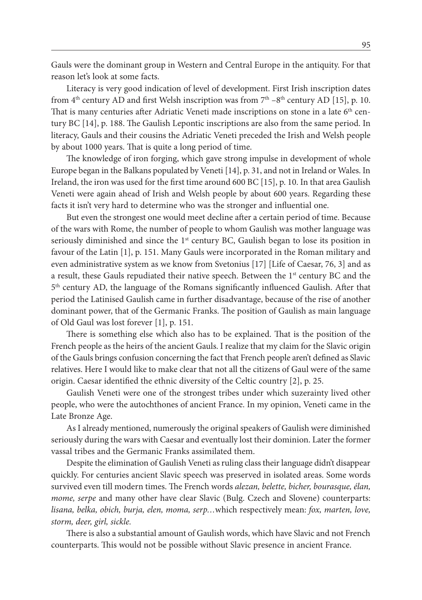Gauls were the dominant group in Western and Central Europe in the antiquity. For that reason let's look at some facts.

Literacy is very good indication of level of development. First Irish inscription dates from 4<sup>th</sup> century AD and first Welsh inscription was from  $7<sup>th</sup> - 8<sup>th</sup>$  century AD [15], p. 10. That is many centuries after Adriatic Veneti made inscriptions on stone in a late  $6<sup>th</sup>$  century BC [14], p. 188. The Gaulish Lepontic inscriptions are also from the same period. In literacy, Gauls and their cousins the Adriatic Veneti preceded the Irish and Welsh people by about 1000 years. That is quite a long period of time.

The knowledge of iron forging, which gave strong impulse in development of whole Europe began in the Balkans populated by Veneti [14], p. 31, and not in Ireland or Wales. In Ireland, the iron was used for the first time around 600 BC [15], p. 10. In that area Gaulish Veneti were again ahead of Irish and Welsh people by about 600 years. Regarding these facts it isn't very hard to determine who was the stronger and influential one.

But even the strongest one would meet decline after a certain period of time. Because of the wars with Rome, the number of people to whom Gaulish was mother language was seriously diminished and since the  $1<sup>st</sup>$  century BC, Gaulish began to lose its position in favour of the Latin [1], p. 151. Many Gauls were incorporated in the Roman military and even administrative system as we know from Svetonius [17] [Life of Caesar, 76, 3] and as a result, these Gauls repudiated their native speech. Between the  $1<sup>st</sup>$  century BC and the 5th century AD, the language of the Romans significantly influenced Gaulish. After that period the Latinised Gaulish came in further disadvantage, because of the rise of another dominant power, that of the Germanic Franks. The position of Gaulish as main language of Old Gaul was lost forever [1], p. 151.

There is something else which also has to be explained. That is the position of the French people as the heirs of the ancient Gauls. I realize that my claim for the Slavic origin of the Gauls brings confusion concerning the fact that French people aren't defined as Slavic relatives. Here I would like to make clear that not all the citizens of Gaul were of the same origin. Caesar identified the ethnic diversity of the Celtic country [2], p. 25.

Gaulish Veneti were one of the strongest tribes under which suzerainty lived other people, who were the autochthones of ancient France. In my opinion, Veneti came in the Late Bronze Age.

As I already mentioned, numerously the original speakers of Gaulish were diminished seriously during the wars with Caesar and eventually lost their dominion. Later the former vassal tribes and the Germanic Franks assimilated them.

Despite the elimination of Gaulish Veneti as ruling class their language didn't disappear quickly. For centuries ancient Slavic speech was preserved in isolated areas. Some words survived even till modern times. The French words *alezan, belette, bicher, bourasque, élan, mome, serpe* and many other have clear Slavic (Bulg. Czech and Slovene) counterparts: *lisana, belka, obich, burja, elen, moma, serp…*which respectively mean: *fox, marten, love, storm, deer, girl, sickle.*

There is also a substantial amount of Gaulish words, which have Slavic and not French counterparts. This would not be possible without Slavic presence in ancient France.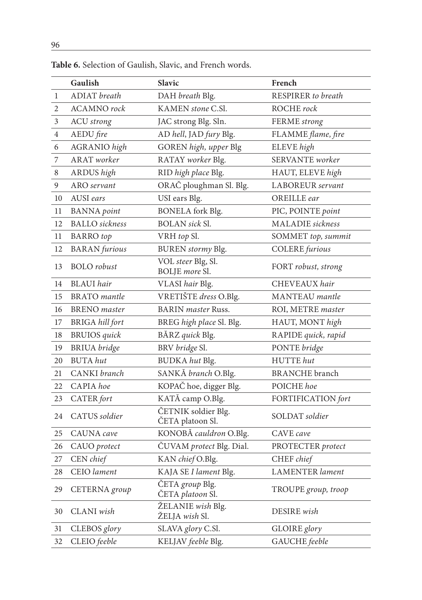|              | Gaulish                | Slavic                                  | French                 |
|--------------|------------------------|-----------------------------------------|------------------------|
| $\mathbf{1}$ | <b>ADIAT</b> breath    | DAH breath Blg.                         | RESPIRER to breath     |
| 2            | <b>ACAMNO</b> rock     | KAMEN stone C.Sl.                       | ROCHE rock             |
| 3            | <b>ACU</b> strong      | JAC strong Blg. Sln.                    | FERME strong           |
| 4            | AEDU fire              | AD hell, JAD fury Blg.                  | FLAMME flame, fire     |
| 6            | <b>AGRANIO</b> high    | GOREN high, upper Blg                   | ELEVE high             |
| 7            | <b>ARAT</b> worker     | RATAY worker Blg.                       | SERVANTE worker        |
| 8            | ARDUS high             | RID high place Blg.                     | HAUT, ELEVE high       |
| 9            | ARO servant            | ORAČ ploughman Sl. Blg.                 | LABOREUR servant       |
| 10           | AUSI ears              | USI ears Blg.                           | OREILLE ear            |
| 11           | <b>BANNA</b> point     | <b>BONELA</b> fork Blg.                 | PIC, POINTE point      |
| 12           | <b>BALLO</b> sickness  | <b>BOLAN</b> sick Sl.                   | MALADIE sickness       |
| 11           | <b>BARRO</b> top       | VRH top Sl.                             | SOMMET top, summit     |
| 12           | <b>BARAN</b> furious   | BUREN stormy Blg.                       | COLERE furious         |
| 13           | <b>BOLO</b> robust     | VOL steer Blg, Sl.<br>BOLJE more Sl.    | FORT robust, strong    |
| 14           | <b>BLAUI</b> hair      | VLASI hair Blg.                         | CHEVEAUX hair          |
| 15           | <b>BRATO</b> mantle    | VRETIŠTE dress O.Blg.                   | MANTEAU mantle         |
| 16           | <b>BRENO</b> master    | <b>BARIN</b> master Russ.               | ROI, METRE master      |
| 17           | <b>BRIGA</b> hill fort | BREG high place Sl. Blg.                | HAUT, MONT high        |
| 18           | <b>BRUIOS</b> quick    | BĂRZ quick Blg.                         | RAPIDE quick, rapid    |
| 19           | <b>BRIUA</b> bridge    | BRV bridge Sl.                          | PONTE bridge           |
| 20           | <b>BUTA</b> hut        | BUDKA hut Blg.                          | HUTTE hut              |
| 21           | CANKI branch           | SANKĂ branch O.Blg.                     | <b>BRANCHE</b> branch  |
| 22           | CAPIA hoe              | KOPAČ hoe, digger Blg.                  | POICHE hoe             |
| 23           | CATER fort             | KATĂ camp O.Blg.                        | FORTIFICATION fort     |
| 24           | CATUS soldier          | ČETNIK soldier Blg.<br>ČETA platoon Sl. | SOLDAT soldier         |
| 25           | CAUNA cave             | KONOBĂ cauldron O.Blg.                  | CAVE cave              |
| 26           | CAUO protect           | ČUVAM protect Blg. Dial.                | PROTECTER protect      |
| 27           | CEN chief              | KAN chief O.Blg.                        | CHEF chief             |
| 28           | CEIO lament            | KAJA SE I lament Blg.                   | <b>LAMENTER</b> lament |
| 29           | CETERNA group          | ČETA group Blg.<br>ČETA platoon Sl.     | TROUPE group, troop    |
| 30           | CLANI wish             | ŽELANIE wish Blg.<br>ŽELJA wish Sl.     | DESIRE wish            |
| 31           | CLEBOS glory           | SLAVA glory C.Sl.                       | GLOIRE glory           |
| 32           | CLEIO feeble           | KELJAV feeble Blg.                      | GAUCHE feeble          |

**Table 6.** Selection of Gaulish, Slavic, and French words.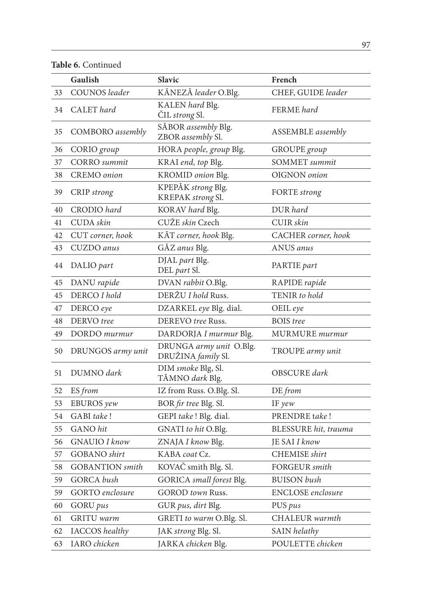**Table 6.** Continued

|    | Gaulish                | <b>Slavic</b>                                 | French                   |
|----|------------------------|-----------------------------------------------|--------------------------|
| 33 | COUNOS leader          | KĂNEZĂ leader O.Blg.                          | CHEF, GUIDE leader       |
| 34 | CALET hard             | KALEN hard Blg.<br>ČIL strong Sl.             | FERME hard               |
| 35 | COMBORO assembly       | SĂBOR assembly Blg.<br>ZBOR assembly Sl.      | <b>ASSEMBLE</b> assembly |
| 36 | CORIO group            | HORA people, group Blg.                       | GROUPE group             |
| 37 | <b>CORRO</b> summit    | KRAI end, top Blg.                            | <b>SOMMET</b> summit     |
| 38 | CREMO onion            | KROMID onion Blg.                             | OIGNON onion             |
| 39 | CRIP strong            | KPEPĂK strong Blg.<br>KREPAK strong Sl.       | FORTE strong             |
| 40 | CRODIO hard            | KORAV hard Blg.                               | DUR hard                 |
| 41 | CUDA skin              | CUŽE skin Czech                               | CUIR skin                |
| 42 | CUT corner, hook       | KĂT corner, hook Blg.                         | CACHER corner, hook      |
| 43 | CUZDO anus             | GĂZ anus Blg.                                 | ANUS anus                |
| 44 | DALIO part             | DJAL part Blg.<br>DEL part Sl.                | PARTIE part              |
| 45 | DANU rapide            | DVAN rabbit O.Blg.                            | RAPIDE rapide            |
| 45 | DERCO I hold           | DERŽU I hold Russ.                            | TENIR to hold            |
| 47 | DERCO eye              | DZARKEL eye Blg. dial.                        | OEIL eye                 |
| 48 | DERVO tree             | DEREVO tree Russ.                             | <b>BOIS</b> tree         |
| 49 | DORDO murmur           | DARDORJA I murmur Blg.                        | <b>MURMURE</b> murmur    |
| 50 | DRUNGOS army unit      | DRUNGA army unit O.Blg.<br>DRUŽINA family Sl. | TROUPE army unit         |
| 51 | DUMNO dark             | DIM smoke Blg, Sl.<br>TĂMNO dark Blg.         | OBSCURE dark             |
| 52 | ES from                | IZ from Russ. O.Blg. Sl.                      | DE from                  |
| 53 | EBUROS yew             | BOR fir tree Blg. Sl.                         | IF yew                   |
| 54 | GABI take!             | GEPI take ! Blg. dial.                        | PRENDRE take!            |
| 55 | GANO hit               | GNATI to hit O.Blg.                           | BLESSURE hit, trauma     |
| 56 | <b>GNAUIO</b> I know   | ZNAJA I know Blg.                             | JE SAI I know            |
| 57 | <b>GOBANO</b> shirt    | KABA coat Cz.                                 | <b>CHEMISE</b> shirt     |
| 58 | <b>GOBANTION</b> smith | KOVAČ smith Blg. Sl.                          | <b>FORGEUR</b> smith     |
| 59 | GORCA bush             | GORICA small forest Blg.                      | <b>BUISON</b> bush       |
| 59 | GORTO enclosure        | GOROD town Russ.                              | <b>ENCLOSE</b> enclosure |
| 60 | GORU pus               | GUR pus, dirt Blg.                            | PUS pus                  |
| 61 | GRITU warm             | GRETI to warm O.Blg. Sl.                      | CHALEUR warmth           |
| 62 | <b>IACCOS</b> healthy  | JAK strong Blg. Sl.                           | SAIN helathy             |
| 63 | IARO chicken           | JARKA chicken Blg.                            | POULETTE chicken         |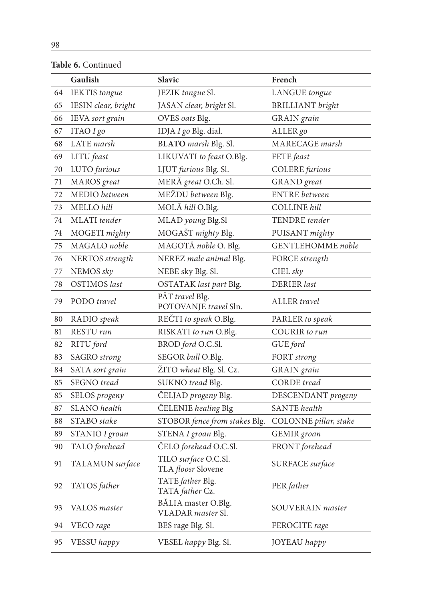|    | Gaulish              | <b>Slavic</b>                              | French                  |
|----|----------------------|--------------------------------------------|-------------------------|
| 64 | <b>IEKTIS</b> tongue | JEZIK tongue Sl.                           | LANGUE tongue           |
| 65 | IESIN clear, bright  | JASAN clear, bright Sl.                    | <b>BRILLIANT</b> bright |
| 66 | IEVA sort grain      | OVES oats Blg.                             | GRAIN grain             |
| 67 | ITAO I go            | IDJA I go Blg. dial.                       | ALLER go                |
| 68 | LATE marsh           | BLATO marsh Blg. Sl.                       | MARECAGE marsh          |
| 69 | LITU feast           | LIKUVATI to feast O.Blg.                   | FETE feast              |
| 70 | LUTO furious         | LJUT furious Blg. Sl.                      | <b>COLERE</b> furious   |
| 71 | MAROS great          | MERĂ great O.Ch. Sl.                       | GRAND great             |
| 72 | MEDIO between        | MEŽDU between Blg.                         | <b>ENTRE</b> between    |
| 73 | MELLO hill           | MOLĂ hill O.Blg.                           | <b>COLLINE</b> hill     |
| 74 | MLATI tender         | MLAD young Blg.Sl                          | TENDRE tender           |
| 74 | MOGETI mighty        | MOGAŠT mighty Blg.                         | PUISANT mighty          |
| 75 | MAGALO noble         | MAGOTĂ noble O. Blg.                       | GENTLEHOMME noble       |
| 76 | NERTOS strength      | NEREZ male animal Blg.                     | FORCE strength          |
| 77 | NEMOS sky            | NEBE sky Blg. Sl.                          | CIEL sky                |
| 78 | OSTIMOS last         | OSTATAK last part Blg.                     | DERIER last             |
| 79 | PODO travel          | PĂT travel Blg.<br>POTOVANJE travel Sln.   | ALLER travel            |
| 80 | RADIO speak          | REČTI to speak O.Blg.                      | PARLER to speak         |
| 81 | RESTU run            | RISKATI to run O.Blg.                      | COURIR to run           |
| 82 | RITU ford            | BROD ford O.C.Sl.                          | GUE ford                |
| 83 | SAGRO strong         | SEGOR bull O.Blg.                          | FORT strong             |
| 84 | SATA sort grain      | ŽITO wheat Blg. Sl. Cz.                    | GRAIN grain             |
| 85 | SEGNO tread          | SUKNO tread Blg.                           | <b>CORDE</b> tread      |
| 85 | SELOS progeny        | ČELJAD progeny Blg.                        | DESCENDANT progeny      |
| 87 | SLANO health         | CELENIE healing Blg                        | <b>SANTE</b> health     |
| 88 | STABO stake          | STOBOR fence from stakes Blg.              | COLONNE pillar, stake   |
| 89 | STANIO I groan       | STENA I groan Blg.                         | GEMIR groan             |
| 90 | TALO forehead        | ČELO forehead O.C.Sl.                      | FRONT forehead          |
| 91 | TALAMUN surface      | TILO surface O.C.Sl.<br>TLA floosr Slovene | <b>SURFACE</b> surface  |
| 92 | TATOS father         | TATE father Blg.<br>TATA father Cz.        | PER father              |
| 93 | VALOS master         | BĂLIA master O.Blg.<br>VLADAR master Sl.   | SOUVERAIN master        |
| 94 | VECO rage            | BES rage Blg. Sl.                          | FEROCITE rage           |
| 95 | VESSU happy          | VESEL happy Blg. Sl.                       | JOYEAU happy            |

**Table 6.** Continued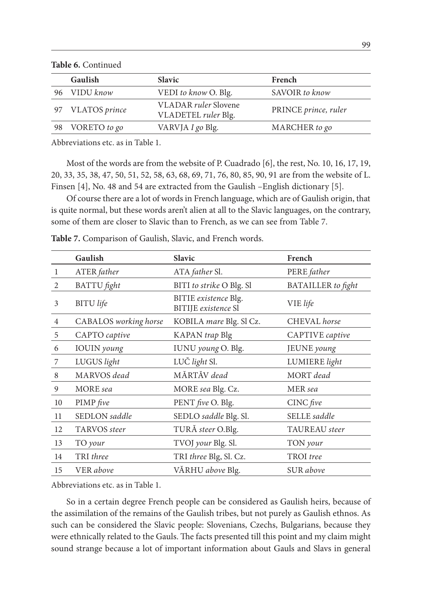Gaulish Slavic **French** 96 VIDU *know* VEDI *to know* O. Blg. SAVOIR *to know* <sup>97</sup> VLATOS *prince* VLADAR *ruler* Slovene VLADETEL *ruler* Blg. PRINCE *prince, ruler* 98 VORETO *to go* VARVJA *I go* Blg. MARCHER *to go*

**Table 6.** Continued

Abbreviations etc. as in Table 1.

Most of the words are from the website of P. Cuadrado [6], the rest, No. 10, 16, 17, 19, 20, 33, 35, 38, 47, 50, 51, 52, 58, 63, 68, 69, 71, 76, 80, 85, 90, 91 are from the website of L. Finsen [4], No. 48 and 54 are extracted from the Gaulish –English dictionary [5].

Of course there are a lot of words in French language, which are of Gaulish origin, that is quite normal, but these words aren't alien at all to the Slavic languages, on the contrary, some of them are closer to Slavic than to French, as we can see from Table 7.

|                | Gaulish               | <b>Slavic</b>                                      | French                    |
|----------------|-----------------------|----------------------------------------------------|---------------------------|
| $\mathbf{1}$   | ATER father           | ATA father Sl.                                     | PERE father               |
| 2              | <b>BATTU</b> fight    | BITI to strike O Blg. Sl                           | <b>BATAILLER</b> to fight |
| 3              | <b>BITU</b> life      | BITIE existence Blg.<br><b>BITIJE</b> existence Sl | VIE life                  |
| $\overline{4}$ | CABALOS working horse | KOBILA mare Blg. Sl Cz.                            | CHEVAL horse              |
| 5              | CAPTO captive         | KAPAN trap Blg                                     | CAPTIVE captive           |
| 6              | <b>IOUIN</b> young    | IUNU young O. Blg.                                 | JEUNE young               |
| 7              | LUGUS light           | LUČ light Sl.                                      | LUMIERE light             |
| 8              | MARVOS dead           | MĂRTĂV dead                                        | MORT dead                 |
| 9              | MORE sea              | MORE sea Blg. Cz.                                  | MER sea                   |
| 10             | PIMP five             | PENT five O. Blg.                                  | $CINC$ five               |
| 11             | SEDLON saddle         | SEDLO saddle Blg. Sl.                              | SELLE saddle              |
| 12             | <b>TARVOS</b> steer   | TURĂ steer O.Blg.                                  | TAUREAU steer             |
| 13             | TO your               | TVOJ your Blg. Sl.                                 | TON your                  |
| 14             | TRI three             | TRI three Blg, Sl. Cz.                             | TROI tree                 |
| 15             | <b>VER</b> above      | VĂRHU above Blg.                                   | SUR above                 |

**Table 7.** Comparison of Gaulish, Slavic, and French words.

Abbreviations etc. as in Table 1.

So in a certain degree French people can be considered as Gaulish heirs, because of the assimilation of the remains of the Gaulish tribes, but not purely as Gaulish ethnos. As such can be considered the Slavic people: Slovenians, Czechs, Bulgarians, because they were ethnically related to the Gauls. The facts presented till this point and my claim might sound strange because a lot of important information about Gauls and Slavs in general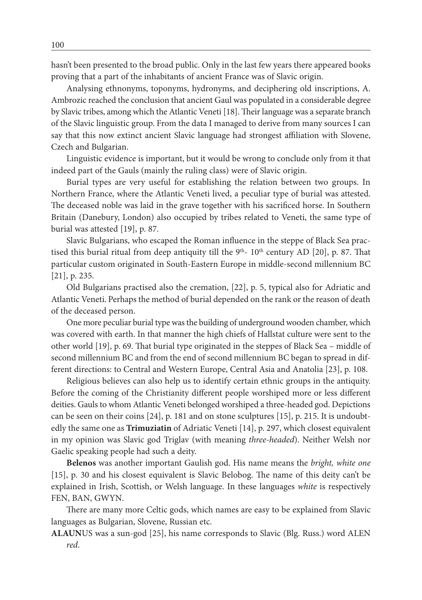hasn't been presented to the broad public. Only in the last few years there appeared books proving that a part of the inhabitants of ancient France was of Slavic origin.

Analysing ethnonyms, toponyms, hydronyms, and deciphering old inscriptions, A. Ambrozic reached the conclusion that ancient Gaul was populated in a considerable degree by Slavic tribes, among which the Atlantic Veneti [18]. Their language was a separate branch of the Slavic linguistic group. From the data I managed to derive from many sources I can say that this now extinct ancient Slavic language had strongest affiliation with Slovene, Czech and Bulgarian.

Linguistic evidence is important, but it would be wrong to conclude only from it that indeed part of the Gauls (mainly the ruling class) were of Slavic origin.

Burial types are very useful for establishing the relation between two groups. In Northern France, where the Atlantic Veneti lived, a peculiar type of burial was attested. The deceased noble was laid in the grave together with his sacrificed horse. In Southern Britain (Danebury, London) also occupied by tribes related to Veneti, the same type of burial was attested [19], p. 87.

Slavic Bulgarians, who escaped the Roman influence in the steppe of Black Sea practised this burial ritual from deep antiquity till the 9<sup>th</sup>- 10<sup>th</sup> century AD [20], p. 87. That particular custom originated in South-Eastern Europe in middle-second millennium BC [21], p. 235.

Old Bulgarians practised also the cremation, [22], p. 5, typical also for Adriatic and Atlantic Veneti. Perhaps the method of burial depended on the rank or the reason of death of the deceased person.

One more peculiar burial type was the building of underground wooden chamber, which was covered with earth. In that manner the high chiefs of Hallstat culture were sent to the other world [19], p. 69. That burial type originated in the steppes of Black Sea – middle of second millennium BC and from the end of second millennium BC began to spread in different directions: to Central and Western Europe, Central Asia and Anatolia [23], p. 108.

Religious believes can also help us to identify certain ethnic groups in the antiquity. Before the coming of the Christianity different people worshiped more or less different deities. Gauls to whom Atlantic Veneti belonged worshiped a three-headed god. Depictions can be seen on their coins [24], p. 181 and on stone sculptures [15], p. 215. It is undoubtedly the same one as **Trimuziatin** of Adriatic Veneti [14], p. 297, which closest equivalent in my opinion was Slavic god Triglav (with meaning *three-headed*). Neither Welsh nor Gaelic speaking people had such a deity.

**Belenos** was another important Gaulish god. His name means the *bright, white one*  [15], p. 30 and his closest equivalent is Slavic Belobog. The name of this deity can't be explained in Irish, Scottish, or Welsh language. In these languages *white* is respectively FEN, BAN, GWYN.

There are many more Celtic gods, which names are easy to be explained from Slavic languages as Bulgarian, Slovene, Russian etc.

**ALAUN**US was a sun-god [25], his name corresponds to Slavic (Blg. Russ.) word ALEN

*red*.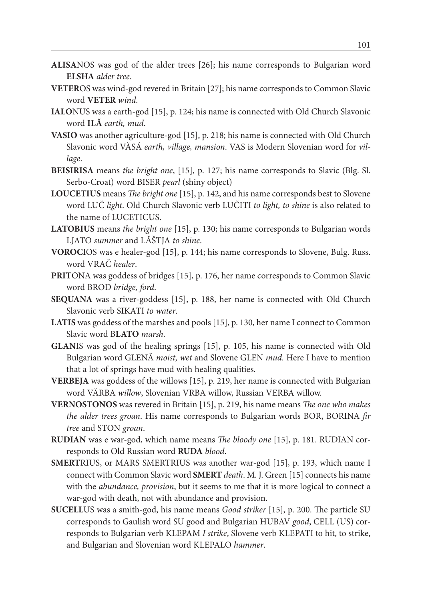- **ALISA**NOS was god of the alder trees [26]; his name corresponds to Bulgarian word **ELSHA** *alder tree*.
- **VETER**OS was wind-god revered in Britain [27]; his name corresponds to Common Slavic word **VETER** *wind*.
- **IALO**NUS was a earth-god [15], p. 124; his name is connected with Old Church Slavonic word **ILĂ** *earth, mud*.
- **VASIO** was another agriculture-god [15], p. 218; his name is connected with Old Church Slavonic word VĂSĂ *earth, village, mansion*. VAS is Modern Slovenian word for *village*.
- **BEISIRISA** means *the bright one*, [15], p. 127; his name corresponds to Slavic (Blg. Sl. Serbo-Croat) word BISER *pearl* (shiny object)
- **LOUCETIUS** means *The bright one* [15], p. 142, and his name corresponds best to Slovene word LUČ *light*. Old Church Slavonic verb LUČITI *to light, to shine* is also related to the name of LUCETICUS.
- **LATOBIUS** means *the bright one* [15], p. 130; his name corresponds to Bulgarian words LJATO *summer* and LĂŠTJA *to shine*.
- **VOROC**IOS was e healer-god [15], p. 144; his name corresponds to Slovene, Bulg. Russ. word VRAČ *healer*.
- **PRIT**ONA was goddess of bridges [15], p. 176, her name corresponds to Common Slavic word BROD *bridge, ford*.
- **SEQUANA** was a river-goddess [15], p. 188, her name is connected with Old Church Slavonic verb SIKATI *to water*.
- **LATIS** was goddess of the marshes and pools [15], p. 130, her name I connect to Common Slavic word B**LATO** *marsh*.
- **GLAN**IS was god of the healing springs [15], p. 105, his name is connected with Old Bulgarian word GLENĂ *moist, wet* and Slovene GLEN *mud.* Here I have to mention that a lot of springs have mud with healing qualities.
- **VERBEJA** was goddess of the willows [15], p. 219, her name is connected with Bulgarian word VĂRBA *willow*, Slovenian VRBA willow, Russian VERBA willow.
- **VERNOSTONOS** was revered in Britain [15], p. 219, his name means *The one who makes the alder trees groan*. His name corresponds to Bulgarian words BOR, BORINA *fir tree* and STON *groan*.
- **RUDIAN** was e war-god, which name means *The bloody one* [15], p. 181. RUDIAN corresponds to Old Russian word **RUDA** *blood*.
- **SMERT**RIUS, or MARS SMERTRIUS was another war-god [15], p. 193, which name I connect with Common Slavic word **SMERT** *death*. M. J. Green [15] connects his name with the *abundance, provision*, but it seems to me that it is more logical to connect a war-god with death, not with abundance and provision.
- **SUCELL**US was a smith-god, his name means *Good striker* [15], p. 200. The particle SU corresponds to Gaulish word SU good and Bulgarian HUBAV *good*, CELL (US) corresponds to Bulgarian verb KLEPAM *I strike*, Slovene verb KLEPATI to hit, to strike, and Bulgarian and Slovenian word KLEPALO *hammer*.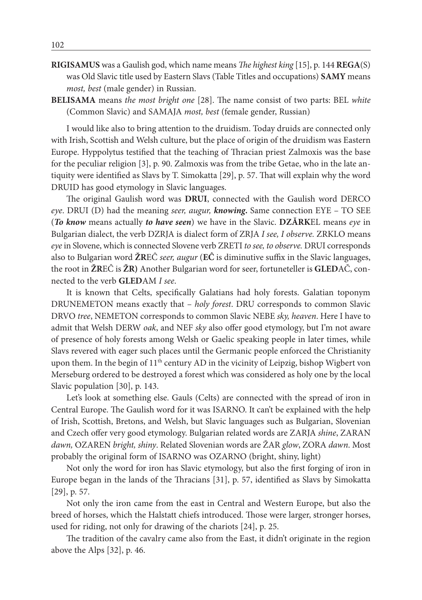- **RIGISAMUS** was a Gaulish god, which name means *The highest king* [15], p. 144 **REGA**(S) was Old Slavic title used by Eastern Slavs (Table Titles and occupations) **SAMY** means *most, best* (male gender) in Russian.
- **BELISAMA** means *the most bright one* [28]. The name consist of two parts: BEL *white* (Common Slavic) and SAMAJA *most, best* (female gender, Russian)

I would like also to bring attention to the druidism. Today druids are connected only with Irish, Scottish and Welsh culture, but the place of origin of the druidism was Eastern Europe. Hyppolytus testified that the teaching of Thracian priest Zalmoxis was the base for the peculiar religion [3], p. 90. Zalmoxis was from the tribe Getae, who in the late antiquity were identified as Slavs by T. Simokatta [29], p. 57. That will explain why the word DRUID has good etymology in Slavic languages.

The original Gaulish word was **DRUI**, connected with the Gaulish word DERCO *eye*. DRUI (D) had the meaning *seer, augur, knowing***.** Same connection EYE – TO SEE (*To know* means actually *to have seen*) we have in the Slavic. **DZĂRK**EL means *eye* in Bulgarian dialect, the verb DZRJA is dialect form of ZRJA *I see, I observe.* ZRKLO means *eye* in Slovene, which is connected Slovene verb ZRETI *to see, to observe.* DRUI corresponds also to Bulgarian word **ŽR**EĈ *seer, augur* (**EĈ** is diminutive suffix in the Slavic languages, the root in **ŽR**EĈ is **ŽR)** Another Bulgarian word for seer, fortuneteller is **GLED**AČ, connected to the verb **GLED**AM *I see*.

It is known that Celts, specifically Galatians had holy forests. Galatian toponym DRUNEMETON means exactly that – *holy forest*. DRU corresponds to common Slavic DRVO *tree*, NEMETON corresponds to common Slavic NEBE *sky, heaven*. Here I have to admit that Welsh DERW *oak*, and NEF *sky* also offer good etymology, but I'm not aware of presence of holy forests among Welsh or Gaelic speaking people in later times, while Slavs revered with eager such places until the Germanic people enforced the Christianity upon them. In the begin of  $11<sup>th</sup>$  century AD in the vicinity of Leipzig, bishop Wigbert von Merseburg ordered to be destroyed a forest which was considered as holy one by the local Slavic population [30], p. 143.

Let's look at something else. Gauls (Celts) are connected with the spread of iron in Central Europe. The Gaulish word for it was ISARNO. It can't be explained with the help of Irish, Scottish, Bretons, and Welsh, but Slavic languages such as Bulgarian, Slovenian and Czech offer very good etymology. Bulgarian related words are ZARJA *shine*, ZARAN *dawn,* OZAREN *bright, shiny*. Related Slovenian words are ŽAR *glow*, ZORA *dawn*. Most probably the original form of ISARNO was OZARNO (bright, shiny, light)

Not only the word for iron has Slavic etymology, but also the first forging of iron in Europe began in the lands of the Thracians [31], p. 57, identified as Slavs by Simokatta [29], p. 57.

Not only the iron came from the east in Central and Western Europe, but also the breed of horses, which the Halstatt chiefs introduced. Those were larger, stronger horses, used for riding, not only for drawing of the chariots [24], p. 25.

The tradition of the cavalry came also from the East, it didn't originate in the region above the Alps [32], p. 46.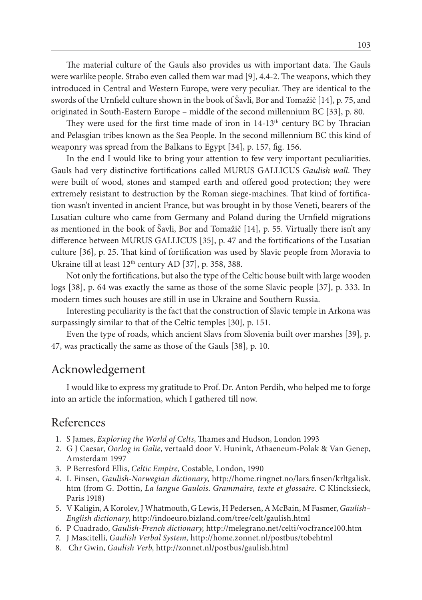The material culture of the Gauls also provides us with important data. The Gauls were warlike people. Strabo even called them war mad [9], 4.4-2. The weapons, which they introduced in Central and Western Europe, were very peculiar. They are identical to the swords of the Urnfield culture shown in the book of Šavli, Bor and Tomažič [14], p. 75, and originated in South-Eastern Europe – middle of the second millennium BC [33], p. 80.

They were used for the first time made of iron in 14-13<sup>th</sup> century BC by Thracian and Pelasgian tribes known as the Sea People. In the second millennium BC this kind of weaponry was spread from the Balkans to Egypt [34], p. 157, fig. 156.

In the end I would like to bring your attention to few very important peculiarities. Gauls had very distinctive fortifications called MURUS GALLICUS *Gaulish wall*. They were built of wood, stones and stamped earth and offered good protection; they were extremely resistant to destruction by the Roman siege-machines. That kind of fortification wasn't invented in ancient France, but was brought in by those Veneti, bearers of the Lusatian culture who came from Germany and Poland during the Urnfield migrations as mentioned in the book of Šavli, Bor and Tomažič [14], p. 55. Virtually there isn't any difference between MURUS GALLICUS [35], p. 47 and the fortifications of the Lusatian culture [36], p. 25. That kind of fortification was used by Slavic people from Moravia to Ukraine till at least 12th century AD [37], p. 358, 388.

Not only the fortifications, but also the type of the Celtic house built with large wooden logs [38], p. 64 was exactly the same as those of the some Slavic people [37], p. 333. In modern times such houses are still in use in Ukraine and Southern Russia.

Interesting peculiarity is the fact that the construction of Slavic temple in Arkona was surpassingly similar to that of the Celtic temples [30], p. 151.

Even the type of roads, which ancient Slavs from Slovenia built over marshes [39], p. 47, was practically the same as those of the Gauls [38], p. 10.

### Acknowledgement

I would like to express my gratitude to Prof. Dr. Anton Perdih, who helped me to forge into an article the information, which I gathered till now.

### References

- 1. S James, *Exploring the World of Celts*, Thames and Hudson, London 1993
- 2. G J Caesar, *Oorlog in Galie*, vertaald door V. Hunink, Athaeneum-Polak & Van Genep, Amsterdam 1997
- 3. P Berresford Ellis, *Celtic Empire,* Costable, London, 1990
- 4. L Finsen, *Gaulish-Norwegian dictionary*, http://home.ringnet.no/lars.finsen/krltgalisk. htm (from G. Dottin, *La langue Gaulois*. *Grammaire, texte et glossaire.* C Klincksieck, Paris 1918)
- 5. V Kaligin, A Korolev, J Whatmouth, G Lewis, H Pedersen, A McBain, M Fasmer, *Gaulish– English dictionary*, http://indoeuro.bizland.com/tree/celt/gaulish.html
- 6. P Cuadrado, *Gaulish-French dictionary,* http://melegrano.net/celti/vocfrance100.htm
- 7. J Mascitelli, *Gaulish Verbal System,* http://home.zonnet.nl/postbus/tobehtml
- 8. Chr Gwin, *Gaulish Verb,* http://zonnet.nl/postbus/gaulish.html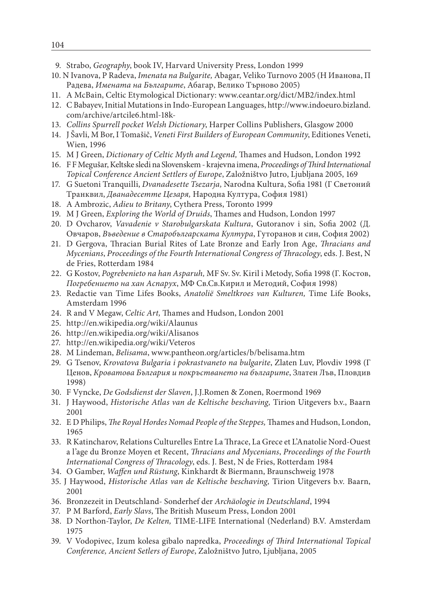- 9. Strabo, *Geography*, book IV, Harvard University Press, London 1999
- 10. N Ivanova, P Radeva, *Imenata na Bulgarite,* Abagar, Veliko Turnovo 2005 (Н Иванова, П Радева, *Имената на Българите*, Абагар, Велико Търново 2005)
- 11. A McBain, Celtic Etymological Dictionary: www.ceantar.org/dict/MB2/index.html
- 12. C Babayev, Initial Mutations in Indo-European Languages, http://www.indoeuro.bizland. com/archive/artcile6.html-18k-
- 13. *Collins Spurrell pocket Welsh Dictionary*, Harper Collins Publishers, Glasgow 2000
- 14. J Šavli, M Bor, I Tomašič, *Veneti First Builders of European Community*, Editiones Veneti, Wien, 1996
- 15. M J Green, *Dictionary of Celtic Myth and Legend,* Thames and Hudson, London 1992
- 16. F F Megušar, Keltske sledi na Slovenskem krajevna imena, *Proceedings of Third International Topical Conference Ancient Settlers of Europe*, Založništvo Jutro, Ljubljana 2005, 169
- 17. G Suetoni Tranquilli, *Dvanadesette Tsezarja,* Narodna Kultura, Sofia 1981 (Г Светоний Транквил, *Дванадесетте Цезаря,* Народна Култура, София 1981)
- 18. A Ambrozic, *Adieu to Britany*, Cythera Press, Toronto 1999
- 19. M J Green, *Exploring the World of Druids*, Thames and Hudson, London 1997
- 20. D Ovcharov, *Vavadenie v Starobulgarskata Kultura*, Gutoranov i sin, Sofia 2002 (Д. Овчаров, *Въведение в Старобългарската Култура*, Гуторанов и син, София 2002)
- 21. D Gergova, Thracian Burial Rites of Late Bronze and Early Iron Age, *Thracians and Mycenians*, *Proceedings of the Fourth International Congress of Thracology*, eds. J. Best, N de Fries, Rotterdam 1984
- 22. G Kostov, *Pogrebenieto na han Asparuh,* MF Sv. Sv. Kiril i Metody, Sofia 1998 (Г. Костов, *Погребението на хан Аспарух*, МФ Св.Св.Кирил и Методий, София 1998)
- 23. Redactie van Time Lifes Books, *Anatolië Smeltkroes van Kulturen,* Time Life Books, Amsterdam 1996
- 24. R and V Megaw, *Celtic Art,* Thames and Hudson, London 2001
- 25. http://en.wikipedia.org/wiki/Alaunus
- 26. http://en.wikipedia.org/wiki/Alisanos
- 27. http://en.wikipedia.org/wiki/Veteros
- 28. M Lindeman, *Belisama*, www.pantheon.org/articles/b/belisama.htm
- 29. G Tsenov, *Krovatova Bulgaria i pokrastvaneto na bulgarite*, Zlaten Luv, Plovdiv 1998 (Г Ценов, *Кроватова България и покръстването на българите*, Златен Лъв, Пловдив 1998)
- 30. F Vyncke, *De Godsdienst der Slaven*, J.J.Romen & Zonen, Roermond 1969
- 31. J Haywood, *Historische Atlas van de Keltische beschaving,* Tirion Uitgevers b.v., Baarn 2001
- 32. E D Philips, *The Royal Hordes Nomad People of the Steppes,* Thames and Hudson, London, 1965
- 33. R Katincharov, Relations Culturelles Entre La Thrace, La Grece et L'Anatolie Nord-Ouest a l'age du Bronze Moyen et Recent, *Thracians and Mycenians*, *Proceedings of the Fourth International Congress of Thracology*, eds. J. Best, N de Fries, Rotterdam 1984
- 34. O Gamber, *Waffen und Rüstung*, Kinkhardt & Biermann, Braunschweig 1978
- 35. J Haywood, *Historische Atlas van de Keltische beschaving,* Tirion Uitgevers b.v. Baarn, 2001
- 36. Bronzezeit in Deutschland- Sonderhef der *Archäologie in Deutschland*, 1994
- 37. P M Barford, *Early Slavs*, The British Museum Press, London 2001
- 38. D Northon-Taylor, *De Kelten,* TIME-LIFE International (Nederland) B.V. Amsterdam 1975
- 39. V Vodopivec, Izum kolesa gibalo napredka, *Proceedings of Third International Topical Conference, Ancient Setlers of Europe*, Založništvo Jutro, Ljubljana, 2005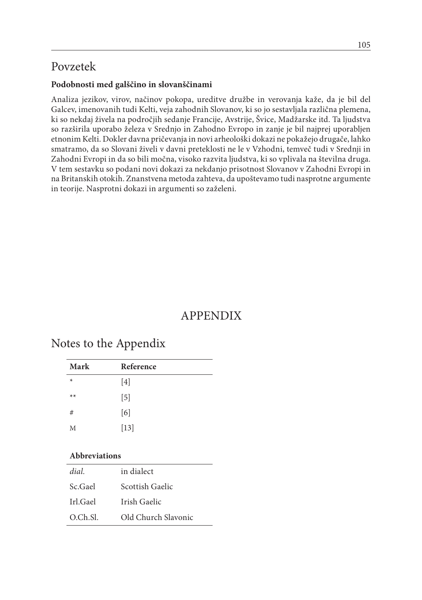# Povzetek

### **Podobnosti med galščino in slovanščinami**

Analiza jezikov, virov, načinov pokopa, ureditve družbe in verovanja kaže, da je bil del Galcev, imenovanih tudi Kelti, veja zahodnih Slovanov, ki so jo sestavljala različna plemena, ki so nekdaj živela na področjih sedanje Francije, Avstrije, Švice, Madžarske itd. Ta ljudstva so razširila uporabo železa v Srednjo in Zahodno Evropo in zanje je bil najprej uporabljen etnonim Kelti. Dokler davna pričevanja in novi arheološki dokazi ne pokažejo drugače, lahko smatramo, da so Slovani živeli v davni preteklosti ne le v Vzhodni, temveč tudi v Srednji in Zahodni Evropi in da so bili močna, visoko razvita ljudstva, ki so vplivala na številna druga. V tem sestavku so podani novi dokazi za nekdanjo prisotnost Slovanov v Zahodni Evropi in na Britanskih otokih. Znanstvena metoda zahteva, da upoštevamo tudi nasprotne argumente in teorije. Nasprotni dokazi in argumenti so zaželeni.

# APPENDIX

### Notes to the Appendix

| Mark   | Reference |  |
|--------|-----------|--|
| $\ast$ | $[4]$     |  |
| $**$   | $[5]$     |  |
| #      | [6]       |  |
| M      | $[13]$    |  |

#### **Abbreviations**

| dial     | in dialect          |
|----------|---------------------|
| Sc.Gael  | Scottish Gaelic     |
| Irl.Gael | Irish Gaelic        |
| O.Ch.Sl. | Old Church Slavonic |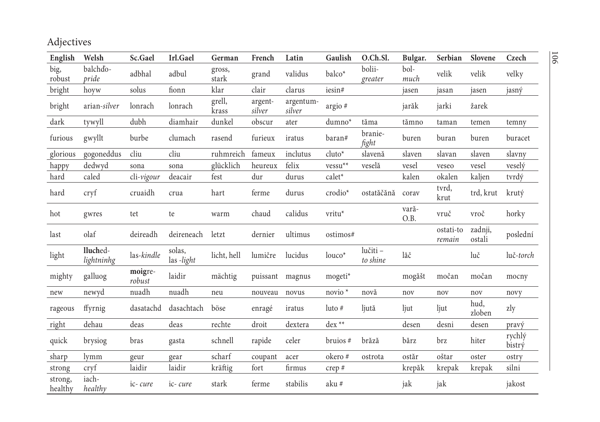Adjectives

| English            | Welsh                  | Sc.Gael           | Irl.Gael            | German          | French            | Latin               | Gaulish            | O.Ch.Sl.             | Bulgar.       | Serbian             | Slovene           | Czech            |
|--------------------|------------------------|-------------------|---------------------|-----------------|-------------------|---------------------|--------------------|----------------------|---------------|---------------------|-------------------|------------------|
| big,<br>robust     | balchdo-<br>pride      | adbhal            | adbul               | gross,<br>stark | grand             | validus             | balco*             | bolii-<br>greater    | bol-<br>much  | velik               | velik             | velky            |
| bright             | hoyw                   | solus             | fionn               | klar            | clair             | clarus              | iesin#             |                      | jasen         | jasan               | jasen             | jasný            |
| bright             | arian-silver           | lonrach           | lonrach             | grell,<br>krass | argent-<br>silver | argentum-<br>silver | argio #            |                      | jarăk         | jarki               | žarek             |                  |
| dark               | tywyll                 | dubh              | diamhair            | dunkel          | obscur            | ater                | $dumno*$           | tăma                 | tămno         | taman               | temen             | temny            |
| furious            | gwyllt                 | burbe             | clumach             | rasend          | furieux           | iratus              | baran#             | branie-<br>fight     | buren         | buran               | buren             | buracet          |
| glorious           | gogoneddus             | cliu              | cliu                | ruhmreich       | fameux            | inclutus            | $cluto*$           | slavenă              | slaven        | slavan              | slaven            | slavny           |
| happy              | dedwyd                 | sona              | sona                | glücklich       | heureux           | felix               | ${\rm vessu^{**}}$ | veselă               | vesel         | veseo               | vesel             | veselý           |
| hard               | caled                  | cli-vigour        | deacair             | fest            | dur               | durus               | calet*             |                      | kalen         | okalen              | kaljen            | tvrdý            |
| hard               | cryf                   | cruaidh           | crua                | hart            | ferme             | durus               | crodio*            | ostatăčănă           | corav         | tvrd,<br>krut       | trd, krut         | krutý            |
| hot                | gwres                  | tet               | te                  | warm            | chaud             | calidus             | vritu*             |                      | vară-<br>O.B. | vruč                | vroč              | horky            |
| last               | olaf                   | deireadh          | deireneach          | letzt           | dernier           | ultimus             | ostimos#           |                      |               | ostati-to<br>remain | zadnji,<br>ostali | poslední         |
| light              | lluched-<br>lightninhg | las-kindle        | solas,<br>las-light | licht, hell     | lumičre           | lucidus             | $louco*$           | lučiti -<br>to shine | lăč           |                     | luč               | luč-torch        |
| mighty             | galluog                | moigre-<br>robust | laidir              | mächtig         |                   | puissant magnus     | mogeti*            |                      | mogăšt        | močan               | močan             | mocny            |
| new                | newyd                  | nuadh             | nuadh               | neu             | nouveau           | novus               | novio <sup>*</sup> | novă                 | nov           | nov                 | nov               | novy             |
| rageous            | ffyrnig                | dasatachd         | dasachtach          | böse            | enragé            | iratus              | $luto$ #           | ljută                | ljut          | ljut                | hud,<br>zloben    | zly              |
| right              | dehau                  | deas              | deas                | rechte          | droit             | dextera             | dex <sup>**</sup>  |                      | desen         | desni               | desen             | pravý            |
| quick              | brysiog                | bras              | gasta               | schnell         | rapide            | celer               | bruios #           | brăză                | bărz          | brz                 | hiter             | rychlý<br>bistrý |
| sharp              | lymm                   | geur              | gear                | scharf          | coupant           | acer                | okero#             | ostrota              | ostăr         | oštar               | oster             | ostry            |
| strong             | cryf                   | laidir            | laidir              | kräftig         | fort              | firmus              | crep#              |                      | krepăk        | krepak              | krepak            | silni            |
| strong,<br>healthy | iach-<br>healthy       | ic-cure           | ic-cure             | stark           | ferme             | stabilis            | aku #              |                      | jak           | jak                 |                   | jakost           |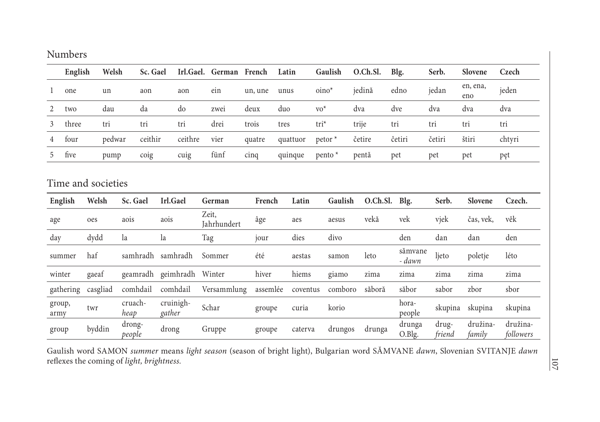#### Numbers

|                | English            | Welsh    |                  | Sc. Gael | Irl.Gael.           | German French        |        |          | Latin    |                      | Gaulish |        | O.Ch.Sl. | Blg.              | Serb.           | Slovene            | Czech                 |
|----------------|--------------------|----------|------------------|----------|---------------------|----------------------|--------|----------|----------|----------------------|---------|--------|----------|-------------------|-----------------|--------------------|-----------------------|
|                | one                | un       |                  | aon      | aon                 | ein                  |        | un, une  | unus     | $oino*$              |         | jedină |          | edno              | jedan           | en, ena,<br>eno    | jeden                 |
| 2              | two                | dau      |                  | da       | do                  | zwei                 | deux   |          | duo      | $\mathrm{vo}^*$      |         | dva    |          | dve               | dva             | dva                | dva                   |
| 3              | three              | tri      |                  | tri      | tri                 | drei                 | trois  |          | tres     | $tri^*$              |         | trije  |          | tri               | tri             | tri                | tri                   |
|                | four               | pedwar   |                  | ceithir  | ceithre             | vier                 | quatre |          | quattuor | $petor$ <sup>*</sup> |         | četire |          | četiri            | četiri          | štiri              | chtyri                |
| 5.             | five               | pump     |                  | coig     | cuig                | fünf                 | cinq   |          | quinque  | $p$ ento $*$         |         | pentă  |          | pet               | pet             | pet                | pęt                   |
|                | Time and societies |          |                  |          |                     |                      |        |          |          |                      |         |        |          |                   |                 |                    |                       |
| English        |                    | Welsh    | Sc. Gael         |          | Irl.Gael            | German               |        | French   | Latin    |                      | Gaulish |        | O.Ch.Sl. | Blg.              | Serb.           | Slovene            | Czech.                |
| age            |                    | oes      | aois             |          | aois                | Zeit,<br>Jahrhundert |        | âge      | aes      |                      | aesus   |        | vekă     | vek               | vjek            | čas, vek,          | věk                   |
| day            |                    | dydd     | la               |          | la                  | Tag                  |        | jour     | dies     |                      | divo    |        |          | den               | dan             | dan                | den                   |
| summer         |                    | haf      | samhradh         |          | samhradh            | Sommer               |        | été      | aestas   |                      | samon   |        | leto     | sămvane<br>- dawn | ljeto           | poletje            | léto                  |
| winter         |                    | gaeaf    | geamradh         |          | geimhradh Winter    |                      |        | hiver    | hiems    |                      | giamo   |        | zima     | zima              | zima            | zima               | zima                  |
| gathering      |                    | casgliad | comhdail         |          | comhdail            | Versammlung          |        | assemlée | coventus |                      | comboro |        | săboră   | săbor             | sabor           | zbor               | sbor                  |
| group,<br>army |                    | twr      | cruach-<br>heap  |          | cruinigh-<br>gather | Schar                |        | groupe   | curia    |                      | korio   |        |          | hora-<br>people   | skupina         | skupina            | skupina               |
| group          |                    | byddin   | drong-<br>people |          | drong               | Gruppe               |        | groupe   | caterva  |                      | drungos |        | drunga   | drunga<br>O.Blg.  | drug-<br>friend | družina-<br>family | družina-<br>followers |

Gaulish word SAMON *summer* means *light season* (season of bright light), Bulgarian word SĂMVANE *dawn*, Slovenian SVITANJE *dawn* reflexes the coming of *light, brightness.*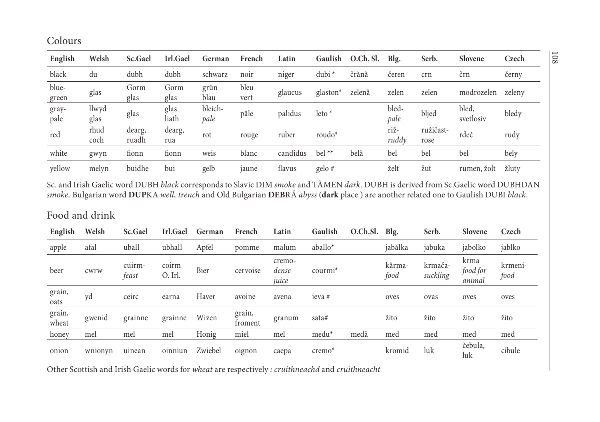Colours

| English        | Welsh         | Sc.Gael         | Irl.Gael      | German          | French       | Latin    | Gaulish    | O.Ch. Sl. | Blg.          | Serb.             | Slovene            | Czech  |
|----------------|---------------|-----------------|---------------|-----------------|--------------|----------|------------|-----------|---------------|-------------------|--------------------|--------|
| black          | du            | dubh            | dubh          | schwarz         | noir         | niger    | $dubi^*$   | črănă     | čeren         | crn               | črn                | černy  |
| blue-<br>green | glas          | Gorm<br>glas    | Gorm<br>glas  | grün<br>blau    | bleu<br>vert | glaucus  | $glaston*$ | zelenă    | zelen         | zelen             | modrozelen         | zeleny |
| gray-<br>pale  | llwyd<br>glas | glas            | glas<br>liath | bleich-<br>pale | pâle         | palidus  | leto $*$   |           | bled-<br>pale | bljed             | bled,<br>svetlosiy | bledy  |
| red            | rhud<br>coch  | dearg,<br>ruadh | dearg,<br>rua | rot             | rouge        | ruber    | roudo $*$  |           | riž-<br>ruddy | ružičast-<br>rose | rdeč               | rudy   |
| white          | gwyn          | fionn           | fionn         | weis            | blanc        | candidus | $bel**$    | belă      | bel           | bel               | bel                | bely   |
| yellow         | melyn         | buidhe          | bui           | gelb            | jaune        | flavus   | gelo#      |           | želt          | žut               | rumen, žolt        | žluty  |

Sc. and Irish Gaelic word DUBH *black* corresponds to Slavic DIM *smoke* and TĂMEN *dark.* DUBH is derived from Sc.Gaelic word DUBHDAN *smoke.* Bulgarian word **DUP**KA *well, trench* and Old Bulgarian **DEB**RĂ *abyss* (**dark** place ) are another related one to Gaulish DUBI *black*.

#### Food and drink

| English         | Welsh   | Sc.Gael         | Irl.Gael         | German  | French            | Latin                    | Gaulish             | O.Ch.Sl. | Blg.           | Serb.               | Slovene                    | Czech           |
|-----------------|---------|-----------------|------------------|---------|-------------------|--------------------------|---------------------|----------|----------------|---------------------|----------------------------|-----------------|
| apple           | afal    | uball           | ubhall           | Apfel   | pomme             | malum                    | aballo*             |          | jabălka        | jabuka              | jabolko                    | jablko          |
| beer            | cwrw    | cuirm-<br>feast | coirm<br>O. Irl. | Bier    | cervoise          | cremo-<br>dense<br>juice | courmi <sup>*</sup> |          | kărma-<br>food | krmača-<br>suckling | krma<br>food for<br>animal | krmeni-<br>food |
| grain,<br>oats  | yd      | ceirc           | earna            | Haver   | avoine            | avena                    | ieva #              |          | oves           | ovas                | oves                       | oves            |
| grain,<br>wheat | gwenid  | grainne         | grainne          | Wizen   | grain,<br>froment | granum                   | sata#               |          | žito           | žito                | žito                       | žito            |
| honey           | mel     | mel             | mel              | Honig   | miel              | mel                      | medu <sup>*</sup>   | medă     | med            | med                 | med                        | med             |
| onion           | wnionyn | uinean          | oinniun          | Zwiebel | oignon            | caepa                    | $c$ remo $*$        |          | kromid         | luk                 | čebula,<br>luk             | cibule          |

Other Scottish and Irish Gaelic words for *wheat* are respectively *: cruithneachd* and *cruithneacht*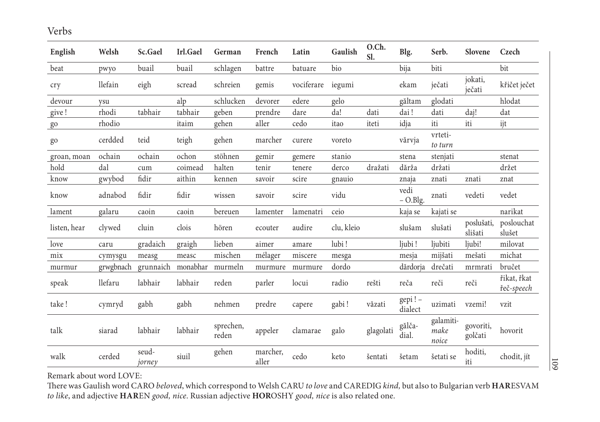Verbs

| English      | Welsh     | Sc.Gael         | Irl.Gael | German             | French            | Latin      | Gaulish    | O.Ch.<br>Sl. | Blg.               | Serb.                      | Slovene               | Czech                     |
|--------------|-----------|-----------------|----------|--------------------|-------------------|------------|------------|--------------|--------------------|----------------------------|-----------------------|---------------------------|
| beat         | pwyo      | buail           | buail    | schlagen           | battre            | batuare    | bio        |              | bija               | biti                       |                       | bit                       |
| cry          | llefain   | eigh            | scread   | schreien           | gemis             | vociferare | iegumi     |              | ekam               | ječati                     | jokati,<br>ječati     | křičet ječet              |
| devour       | ysu       |                 | alp      | schlucken          | devorer           | edere      | gelo       |              | găltam             | glodati                    |                       | hlodat                    |
| give !       | rhodi     | tabhair         | tabhair  | geben              | prendre           | dare       | da!        | dati         | dai!               | dati                       | daj!                  | dat                       |
| $g_0$        | rhodio    |                 | itaim    | gehen              | aller             | cedo       | itao       | iteti        | idja               | iti                        | iti                   | ijt                       |
| go           | cerdded   | teid            | teigh    | gehen              | marcher           | curere     | voreto     |              | vărvja             | vrteti-<br>to turn         |                       |                           |
| groan, moan  | ochain    | ochain          | ochon    | stöhnen            | gemir             | gemere     | stanio     |              | stena              | stenjati                   |                       | stenat                    |
| hold         | dal       | cum             | coimead  | halten             | tenir             | tenere     | derco      | dražati      | dărža              | držati                     |                       | držet                     |
| know         | gwybod    | fidir           | aithin   | kennen             | savoir            | scire      | gnauio     |              | znaja              | znati                      | znati                 | znat                      |
| know         | adnabod   | fidir           | fidir    | wissen             | savoir            | scire      | vidu       |              | vedi<br>$-$ O.Blg. | znati                      | vedeti                | vedet                     |
| lament       | galaru    | caoin           | caoin    | bereuen            | lamenter          | lamenatri  | ceio       |              | kaja se            | kajati se                  |                       | narikat                   |
| listen, hear | clywed    | cluin           | clois    | hören              | ecouter           | audire     | clu, kleio |              | slušam             | slušati                    | poslušati,<br>slišati | poslouchat<br>slušet      |
| love         | caru      | gradaich        | graigh   | lieben             | aimer             | amare      | lubi!      |              | ljubi!             | ljubiti                    | ljubi!                | milovat                   |
| mix          | cymysgu   | measg           | measc    | mischen            | mélager           | miscere    | mesga      |              | mesja              | mijšati                    | mešati                | michat                    |
| murmur       | grwgbnach | grunnaich       | monabhar | murmeln            | murmure           | murmure    | dordo      |              | dărdorja           | drečati                    | mrmrati               | bručet                    |
| speak        | llefaru   | labhair         | labhair  | reden              | parler            | locui      | radio      | rešti        | reča               | reči                       | reči                  | řikat, řkat<br>řeč-speech |
| take!        | cymryd    | gabh            | gabh     | ${\tt nehmen}$     | predre            | capere     | gabi!      | văzati       | gepi!-<br>dialect  | uzimati                    | vzemi!                | vzit                      |
| talk         | siarad    | labhair         | labhair  | sprechen,<br>reden | appeler           | clamarae   | galo       | glagolati    | gălča-<br>dial.    | galamiti-<br>make<br>noice | govoriti,<br>golčati  | hovorit                   |
| walk         | cerded    | seud-<br>jorney | siuil    | gehen              | marcher,<br>aller | cedo       | keto       | šentati      | šetam              | šetati se                  | hoditi,<br>iti        | chodit, jít               |

Remark about word LOVE:

There was Gaulish word CARO *beloved*, which correspond to Welsh CARU *to love* and CAREDIG *kind,* but also to Bulgarian verb **HAR**ESVAM *to like*, and adjective **HAR**EN *good, nice*. Russian adjective **HOR**OSHY *good, nice* is also related one.

109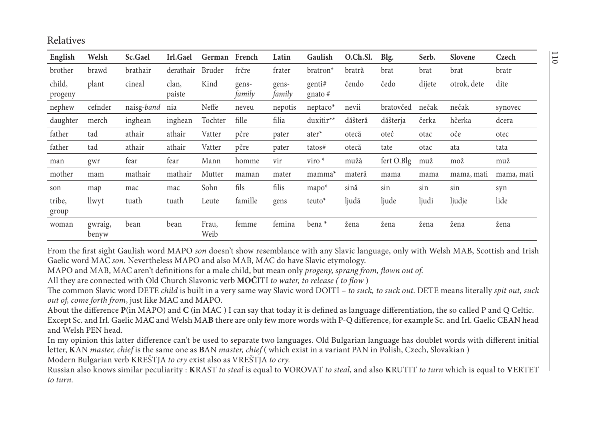### Relatives

| English           | Welsh            | Sc.Gael    | Irl.Gael        | German        | French          | Latin           | Gaulish                    | O.Ch.Sl. | Blg.       | Serb.  | <b>Slovene</b> | Czech      |
|-------------------|------------------|------------|-----------------|---------------|-----------------|-----------------|----------------------------|----------|------------|--------|----------------|------------|
| brother           | brawd            | brathair   | derathair       | Bruder        | frčre           | frater          | bratron <sup>*</sup>       | bratră   | brat       | brat   | brat           | bratr      |
| child,<br>progeny | plant            | cineal     | clan,<br>paiste | Kind          | gens-<br>family | gens-<br>family | genti#<br>gnato $#$        | čendo    | čedo       | dijete | otrok, dete    | dite       |
| nephew            | cefnder          | naisg-band | nia             | Neffe         | neveu           | nepotis         | $n$ eptaco $*$             | nevii    | bratovčed  | nečak  | nečak          | synovec    |
| daughter          | merch            | inghean    | inghean         | Tochter       | fille           | filia           | duxitir**                  | dăšteră  | dăšterja   | čerka  | hčerka         | dcera      |
| father            | tad              | athair     | athair          | Vatter        | pčre            | pater           | ater <sup>*</sup>          | otecă    | oteĉ       | otac   | oče            | otec       |
| father            | tad              | athair     | athair          | Vatter        | pčre            | pater           | tatos#                     | otecă    | tate       | otac   | ata            | tata       |
| man               | gwr              | fear       | fear            | Mann          | homme           | vir             | $\overline{\text{viro}}$ * | mužă     | fert O.Blg | muž    | mož            | muž        |
| mother            | mam              | mathair    | mathair         | Mutter        | maman           | mater           | mamma <sup>*</sup>         | materă   | mama       | mama   | mama, mati     | mama, mati |
| son               | map              | mac        | mac             | Sohn          | fils            | filis           | $mapo^*$                   | sină     | sin        | sin    | sin            | syn        |
| tribe,<br>group   | llwyt            | tuath      | tuath           | Leute         | famille         | gens            | teuto <sup>*</sup>         | ljudă    | ljude      | ljudi  | ljudje         | lide       |
| woman             | gwraig,<br>benyw | bean       | bean            | Frau,<br>Weib | femme           | femina          | bena <sup>*</sup>          | žena     | žena       | žena   | žena           | žena       |

From the first sight Gaulish word MAPO *son* doesn't show resemblance with any Slavic language, only with Welsh MAB, Scottish and Irish Gaelic word MAC *son.* Nevertheless MAPO and also MAB, MAC do have Slavic etymology.

MAPO and MAB, MAC aren't definitions for <sup>a</sup> male child, but mean only *progeny, sprang from, flown out of*.

All they are connected with Old Church Slavonic verb **MOČ**ITI *to water, to release ( to flow* )

The common Slavic word DETE *child* is built in a very same way Slavic word DOITI – *to suck, to suck out*. DETE means literally *spit out, suck out of, come forth from*, just like MAC and MAPO.

About the difference **<sup>P</sup>**(in MAPO) and **C** (in MAC ) I can say that today it is defined as language differentiation, the so called P and Q Celtic. Except Sc. and Irl. Gaelic MA**C** and Welsh MA**B** there are only few more words with P-Q difference, for example Sc. and Irl. Gaelic CEAN head and Welsh PEN head.

In my opinion this latter difference can't be used to separate two languages. Old Bulgarian language has doublet words with different initial letter, **K**AN *master, chief* is the same one as **B**AN *master, chief* ( which exist in a variant PAN in Polish, Czech, Slovakian )

Modern Bulgarian verb KREŠTJA *to cry* exist also as VREŠTJA *to cry.*

Russian also knows similar peculiarity : **K**RAST *to steal* is equal to **V**OROVAT *to steal*, and also **K**RUTIT *to turn* which is equal to **V**ERTET *to turn.*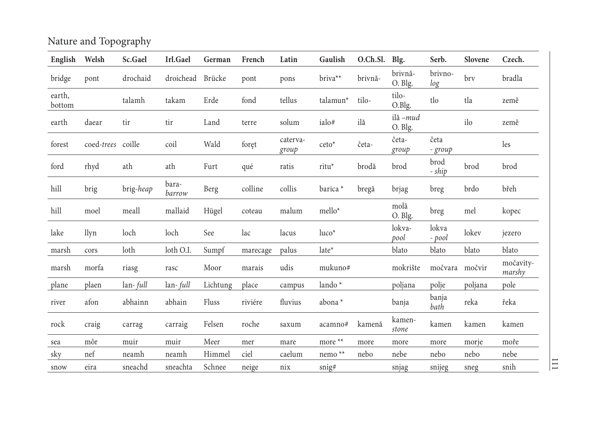Nature and Topography

| English          | Welsh             | Sc.Gael   | Irl.Gael        | German   | French   | Latin             | Gaulish              | O.Ch.Sl. Blg. |                     | Serb.           | Slovene | Czech.              |
|------------------|-------------------|-----------|-----------------|----------|----------|-------------------|----------------------|---------------|---------------------|-----------------|---------|---------------------|
| bridge           | pont              | drochaid  | droichead       | Brücke   | pont     | pons              | briva**              | brivnă-       | brivnă-<br>O. Blg.  | brivno-<br>log  | bry     | bradla              |
| earth,<br>bottom |                   | talamh    | takam           | Erde     | fond     | tellus            | talamun <sup>*</sup> | tilo-         | tilo-<br>O.Blg.     | tlo             | tla     | země                |
| earth            | daear             | tir       | tir             | Land     | terre    | solum             | ialo#                | ilă           | ilă –mud<br>O. Blg. |                 | ilo     | země                |
| forest           | coed-trees coille |           | coil            | Wald     | foret    | caterva-<br>group | $ceto^*$             | četa-         | četa-<br>group      | četa<br>- group |         | les                 |
| ford             | rhyd              | ath       | ath             | Furt     | qué      | ratis             | ritu*                | brodă         | brod                | brod<br>- ship  | brod    | brod                |
| hill             | brig              | brig-heap | bara-<br>barrow | Berg     | colline  | collis            | barica *             | bregă         | brjag               | breg            | brdo    | břeh                |
| hill             | moel              | meall     | mallaid         | Hügel    | coteau   | malum             | mello*               |               | molă<br>O. Blg.     | breg            | mel     | kopec               |
| lake             | llyn              | loch      | loch            | See      | lac      | lacus             | $luco*$              |               | lokva-<br>pool      | lokva<br>- pool | lokev   | jezero              |
| marsh            | cors              | loth      | loth O.I.       | Sumpf    | marecage | palus             | late*                |               | blato               | blato           | blato   | blato               |
| marsh            | morfa             | riasg     | rasc            | Moor     | marais   | udis              | mukuno#              |               | mokrište            | močvara         | močvir  | močavity-<br>marshy |
| plane            | plaen             | lan-full  | lan-full        | Lichtung | place    | campus            | lando *              |               | poljana             | polje           | poljana | pole                |
| river            | afon              | abhainn   | abhain          | Fluss    | riviére  | fluvius           | abona *              |               | banja               | banja<br>bath   | reka    | řeka                |
| rock             | craig             | carrag    | carraig         | Felsen   | roche    | saxum             | acamno#              | kamenă        | kamen-<br>stone     | kamen           | kamen   | kamen               |
| sea              | môr               | muir      | muir            | Meer     | mer      | mare              | more **              | more          | more                | more            | morje   | moře                |
| sky              | nef               | neamh     | neamh           | Himmel   | ciel     | caelum            | nemo $**$            | nebo          | nebe                | nebo            | nebo    | nebe                |
| snow             | eira              | sneachd   | sneachta        | Schnee   | neige    | nix               | snig#                |               | snjag               | snijeg          | sneg    | snih                |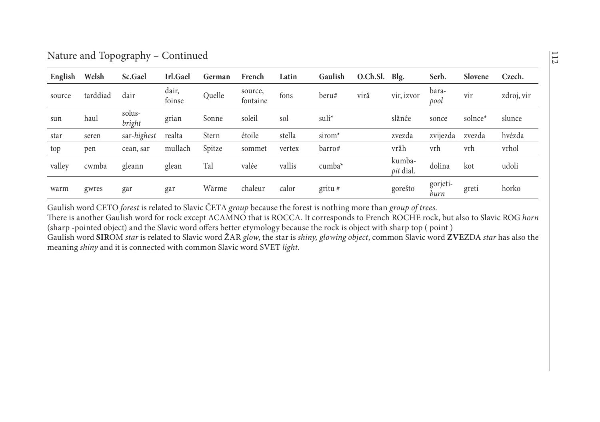| Nature and Topography - Continued |  |
|-----------------------------------|--|
|                                   |  |
|                                   |  |

| English | Welsh    | Sc.Gael          | Irl.Gael        | German | French              | Latin  | Gaulish            | O.Ch.Sl. | Blg.                | Serb.            | Slovene             | Czech.     |
|---------|----------|------------------|-----------------|--------|---------------------|--------|--------------------|----------|---------------------|------------------|---------------------|------------|
| source  | tarddiad | dair             | dair,<br>foinse | Quelle | source,<br>fontaine | fons   | beru#              | viră     | vir, izvor          | bara-<br>pool    | vir                 | zdroj, vir |
| sun     | haul     | solus-<br>bright | grian           | Sonne  | soleil              | sol    | suli <sup>*</sup>  |          | slănĉe              | sonce            | solnce <sup>*</sup> | slunce     |
| star    | seren    | sar-highest      | realta          | Stern  | étoile              | stella | sirom <sup>*</sup> |          | zvezda              | zvijezda         | zvezda              | hvézda     |
| top     | pen      | cean, sar        | mullach         | Spitze | sommet              | vertex | barro#             |          | vrăh                | vrh              | vrh                 | vrhol      |
| valley  | cwmba    | gleann           | glean           | Tal    | valée               | vallis | $cumba*$           |          | kumba-<br>pit dial. | dolina           | kot                 | udoli      |
| warm    | gwres    | gar              | gar             | Wärme  | chaleur             | calor  | $gritu$ #          |          | gorešto             | gorjeti-<br>burn | greti               | horko      |

Gaulish word CETO *forest* is related to Slavic ČETA *group* because the forest is nothing more than *group of trees.*

There is another Gaulish word for rock excep<sup>t</sup> ACAMNO that is ROCCA. It corresponds to French ROCHE rock, but also to Slavic ROG *horn*  (sharp -pointed object) and the Slavic word offers better etymology because the rock is object with sharp top ( point ) Gaulish word **SIR**OM *star* is related to Slavic word ŽAR *glow*, the star is *shiny, glowing object*, common Slavic word **ZVE**ZDA *star* has also the

meaning *shiny* and it is connected with common Slavic word SVET *light*.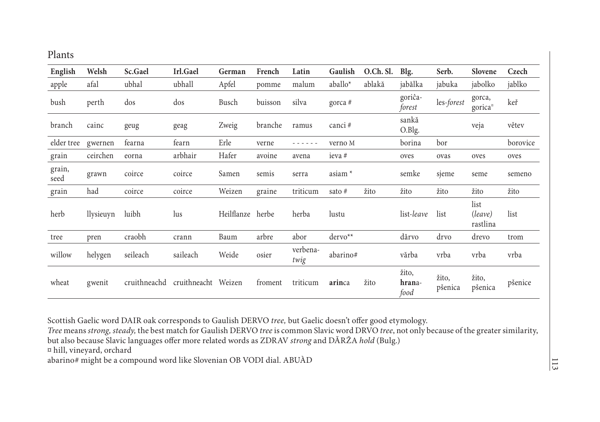| English            | Welsh     | Sc.Gael                          | Irl.Gael | German     | French  | Latin            | Gaulish            | O.Ch. Sl. | Blg.                    | Serb.            | Slovene                       | Czech    |
|--------------------|-----------|----------------------------------|----------|------------|---------|------------------|--------------------|-----------|-------------------------|------------------|-------------------------------|----------|
| apple              | afal      | ubhal                            | ubhall   | Apfel      | pomme   | malum            | aballo*            | ablakă    | jabălka                 | jabuka           | jabolko                       | jablko   |
| bush               | perth     | dos                              | dos      | Busch      | buisson | silva            | gorca $#$          |           | goriĉa-<br>forest       | les-forest       | gorca,<br>gorica <sup>n</sup> | keř      |
| branch             | cainc     | geug                             | geag     | Zweig      | branche | ramus            | canci#             |           | sankă<br>O.Blg.         |                  | veja                          | větev    |
| elder tree gwernen |           | fearna                           | fearn    | Erle       | verne   | - - - - - -      | verno M            |           | borina                  | bor              |                               | borovice |
| grain              | ceirchen  | eorna                            | arbhair  | Hafer      | avoine  | avena            | ieva #             |           | oves                    | ovas             | oves                          | oves     |
| grain,<br>seed     | grawn     | coirce                           | coirce   | Samen      | semis   | serra            | asiam <sup>*</sup> |           | semke                   | sjeme            | seme                          | semeno   |
| grain              | had       | coirce                           | coirce   | Weizen     | graine  | triticum         | sato #             | žito      | žito                    | žito             | žito                          | žito     |
| herb               | llysieuyn | luibh                            | lus      | Heilflanze | herbe   | herba            | lustu              |           | list-leave              | list             | list<br>(leave)<br>rastlina   | list     |
| tree               | pren      | craobh                           | crann    | Baum       | arbre   | abor             | $dervo**$          |           | dărvo                   | drvo             | drevo                         | trom     |
| willow             | helygen   | seileach                         | saileach | Weide      | osier   | verbena-<br>twig | abarino#           |           | vărba                   | vrba             | vrba                          | vrba     |
| wheat              | gwenit    | cruithneachd cruithneacht Weizen |          |            | froment | triticum         | arinca             | žito      | žito,<br>hrana-<br>food | žito,<br>pšenica | žito,<br>pšenica              | pšenice  |

Scottish Gaelic word DAIR oak corresponds to Gaulish DERVO *tree,* but Gaelic doesn't offer good etymology.

*Tree* means *strong, steady,* the best match for Gaulish DERVO *tree* is common Slavic word DRVO *tree*, not only because of the greater similarity, but also because Slavic languages offer more related words as ZDRAV *strong* and DĂRŽA *hold* (Bulg.)

¤ hill, vineyard, orchard

abarino# might be a compound word like Slovenian OB VODI dial. ABUÀD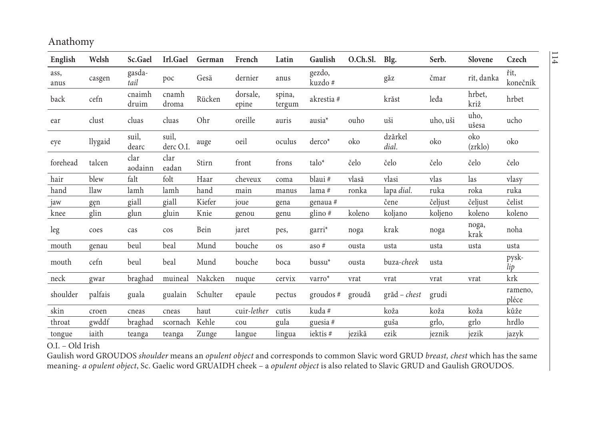| English      | Welsh   | Sc.Gael         | Irl.Gael           | German   | French            | Latin            | Gaulish            | O.Ch.Sl. | Blg.             | Serb.    | Slovene        | Czech            |
|--------------|---------|-----------------|--------------------|----------|-------------------|------------------|--------------------|----------|------------------|----------|----------------|------------------|
| ass,<br>anus | casgen  | gasda-<br>tail  | poc                | Gesä     | dernier           | anus             | gezdo,<br>kuzdo #  |          | găz              | čmar     | rit, danka     | řit,<br>konečník |
| back         | cefn    | cnaimh<br>druim | cnamh<br>droma     | Rücken   | dorsale,<br>epine | spina,<br>tergum | akrestia $\#$      |          | krăst            | leđa     | hrbet,<br>križ | hrbet            |
| ear          | clust   | cluas           | cluas              | Ohr      | oreille           | auris            | ausia <sup>*</sup> | ouho     | uši              | uho, uši | uho,<br>ušesa  | ucho             |
| eye          | llygaid | suil,<br>dearc  | suil,<br>derc O.I. | auge     | oeil              | oculus           | derco*             | oko      | dzărkel<br>dial. | oko      | oko<br>(zrklo) | oko              |
| forehead     | talcen  | clar<br>aodainn | clar<br>eadan      | Stirn    | front             | frons            | talo <sup>*</sup>  | čelo     | čelo             | čelo     | čelo           | čelo             |
| hair         | blew    | falt            | folt               | Haar     | cheveux           | coma             | blaui#             | vlasă    | vlasi            | vlas     | las            | vlasy            |
| hand         | llaw    | lamh            | lamh               | hand     | main              | manus            | lama #             | ronka    | lapa dial.       | ruka     | roka           | ruka             |
| jaw          | gen     | giall           | giall              | Kiefer   | joue              | gena             | genaua #           |          | čene             | čeljust  | čeljust        | čelist           |
| knee         | glin    | glun            | gluin              | Knie     | genou             | genu             | glino $#$          | koleno   | koljano          | koljeno  | koleno         | koleno           |
| leg          | coes    | cas             | cos                | Bein     | jaret             | pes,             | $garri*$           | noga     | krak             | noga     | noga,<br>krak  | noha             |
| mouth        | genau   | beul            | beal               | Mund     | bouche            | <b>OS</b>        | aso #              | ousta    | usta             | usta     | usta           | usta             |
| mouth        | cefn    | beul            | beal               | Mund     | bouche            | boca             | bussu <sup>*</sup> | ousta    | buza-cheek       | usta     |                | pysk-<br>lip     |
| neck         | gwar    | braghad         | muineal            | Nakcken  | nuque             | cervix           | varro*             | vrat     | vrat             | vrat     | vrat           | krk              |
| shoulder     | palfais | guala           | gualain            | Schulter | epaule            | pectus           | groudos $#$        | groudă   | $grid - chest$   | grudi    |                | rameno,<br>pléce |
| skin         | croen   | cneas           | cneas              | haut     | cuir-lether       | cutis            | kuda #             |          | koža             | koža     | koža           | kůže             |
| throat       | gwddf   | braghad         | scornach           | Kehle    | cou               | gula             | guesia #           |          | guša             | grlo,    | grlo           | hrdlo            |
| tongue       | iaith   | teanga          | teanga             | Zunge    | langue            | lingua           | iektis#            | iezikă   | ezik             | jeznik   | jezik          | jazyk            |

O.I. – Old Irish

Gaulish word GROUDOS *shoulder* means an *opulent object* and corresponds to common Slavic word GRUD *breast, chest* which has the same meaning- *a opulent object*, Sc. Gaelic word GRUAIDH cheek – a *opulent object* is also related to Slavic GRUD and Gaulish GROUDOS.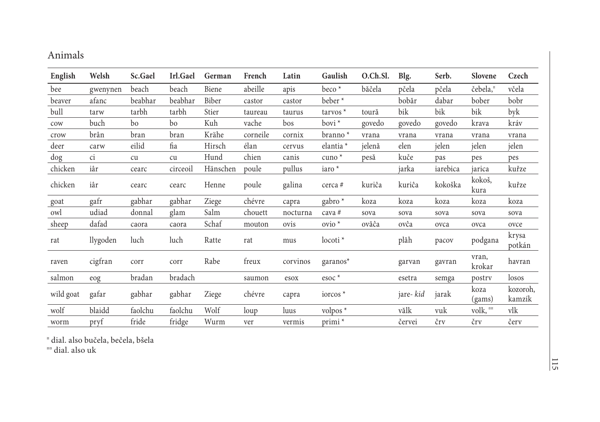### Animals

| English   | Welsh    | Sc.Gael | Irl.Gael | German   | French   | Latin    | Gaulish                    | O.Ch.Sl. | Blg.      | Serb.    | Slovene              | Czech              |
|-----------|----------|---------|----------|----------|----------|----------|----------------------------|----------|-----------|----------|----------------------|--------------------|
| bee       | gwenynen | beach   | beach    | Biene    | abeille  | apis     | $beco*$                    | băčela   | pčela     | pčela    | čebela, <sup>¤</sup> | včela              |
| beaver    | afanc    | beabhar | beabhar  | Biber    | castor   | castor   | beber <sup>*</sup>         |          | bobăr     | dabar    | bober                | bobr               |
| bull      | tarw     | tarbh   | tarbh    | Stier    | taureau  | taurus   | $t$ arvos $*$              | toură    | bik       | bik      | bik                  | byk                |
| cow       | buch     | bo      | bo       | Kuh      | vache    | bos      | $\frac{1}{2}$              | govedo   | govedo    | govedo   | krava                | kráv               |
| crow      | brân     | bran    | bran     | Krähe    | corneile | cornix   | $branno*$                  | vrana    | vrana     | vrana    | vrana                | vrana              |
| deer      | carw     | eilid   | fia      | Hirsch   | élan     | cervus   | elantia *                  | jelenă   | elen      | jelen    | jelen                | jelen              |
| dog       | ci       | cu      | cu       | Hund     | chien    | canis    | $c$ uno $*$                | pesă     | kuče      | pas      | pes                  | pes                |
| chicken   | iâr      | cearc   | circeoil | Hänschen | poule    | pullus   | iaro *                     |          | jarka     | iarebica | jarica               | kuřze              |
| chicken   | iâr      | cearc   | cearc    | Henne    | poule    | galina   | cerca #                    | kuriĉa   | kuriĉa    | kokoška  | kokoš,<br>kura       | kuřze              |
| goat      | gafr     | gabhar  | gabhar   | Ziege    | chévre   | capra    | gabro <sup>*</sup>         | koza     | koza      | koza     | koza                 | koza               |
| owl       | udiad    | donnal  | glam     | Salm     | chouett  | nocturna | cava #                     | sova     | sova      | sova     | sova                 | sova               |
| sheep     | dafad    | caora   | caora    | Schaf    | mouton   | ovis     | $ovio^*$                   | ovăĉa    | ovĉa      | ovca     | ovca                 | ovce               |
| rat       | llygoden | luch    | luch     | Ratte    | rat      | mus      | $locoti*$                  |          | plăh      | pacov    | podgana              | krysa<br>potkán    |
| raven     | cigfran  | corr    | corr     | Rabe     | freux    | corvinos | $garanos*$                 |          | garvan    | gavran   | vran,<br>krokar      | havran             |
| salmon    | eog      | bradan  | bradach  |          | saumon   | esox     | $\text{esoc}$ <sup>*</sup> |          | esetra    | semga    | postry               | losos              |
| wild goat | gafar    | gabhar  | gabhar   | Ziege    | chévre   | capra    | iorcos $*$                 |          | jare- kid | jarak    | koza<br>(gams)       | kozoroh,<br>kamzík |
| wolf      | blaidd   | faolchu | faolchu  | Wolf     | loup     | luus     | volpos *                   |          | vălk      | vuk      | volk, "              | vlk                |
| worm      | pryf     | fride   | fridge   | Wurm     | ver      | vermis   | primi <sup>*</sup>         |          | červei    | črv      | črv                  | červ               |

¤ dial. also bučela, bečela, bšela

¤¤ dial. also uk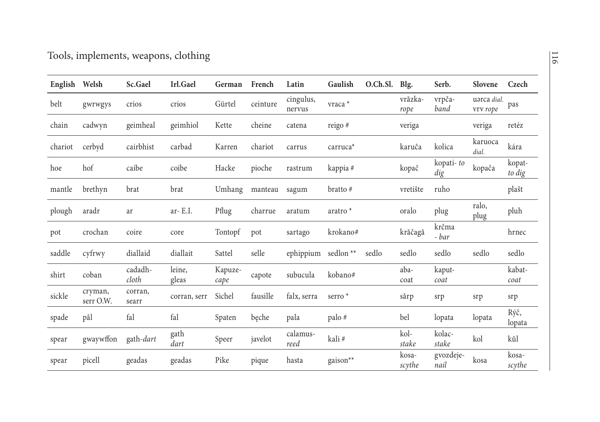| English | Welsh                | Sc.Gael           | Irl.Gael        | German          | French   | Latin               | Gaulish              | O.Ch.Sl. | Blg.            | Serb.             | Slovene                 | Czech            |
|---------|----------------------|-------------------|-----------------|-----------------|----------|---------------------|----------------------|----------|-----------------|-------------------|-------------------------|------------------|
| belt    | gwrwgys              | crios             | crios           | Gürtel          | ceinture | cingulus,<br>nervus | vraca *              |          | vrăzka-<br>rope | vrpča-<br>band    | uarca dial.<br>vrv rope | pas              |
| chain   | cadwyn               | geimheal          | geimhiol        | Kette           | cheine   | catena              | reigo #              |          | veriga          |                   | veriga                  | retéz            |
| chariot | cerbyd               | cairbhist         | carbad          | Karren          | chariot  | carrus              | carruca <sup>*</sup> |          | karuĉa          | kolica            | karuoca<br>dial.        | kára             |
| hoe     | hof                  | caibe             | coibe           | Hacke           | pioche   | rastrum             | kappia #             |          | kopač           | kopati-to<br>dig  | kopača                  | kopat-<br>to dig |
| mantle  | brethyn              | brat              | brat            | Umhang          | manteau  | sagum               | bratto #             |          | vretište        | ruho              |                         | plašt            |
| plough  | aradr                | ar                | ar- $E.I.$      | Pflug           | charrue  | aratum              | aratro *             |          | oralo           | plug              | ralo,<br>plug           | pluh             |
| pot     | crochan              | coire             | core            | Tontopf         | pot      | sartago             | krokano#             |          | krăčagă         | krčma<br>- bar    |                         | hrnec            |
| saddle  | cyfrwy               | diallaid          | diallait        | Sattel          | selle    | ephippium           | sedlon <sup>**</sup> | sedlo    | sedlo           | sedlo             | sedlo                   | sedlo            |
| shirt   | coban                | cadadh-<br>cloth  | leine,<br>gleas | Kapuze-<br>cape | capote   | subucula            | kobano#              |          | aba-<br>coat    | kaput-<br>coat    |                         | kabat-<br>coat   |
| sickle  | cryman,<br>serr O.W. | corran,<br>searr  | corran, serr    | Sichel          | fausille | falx, serra         | serro <sup>*</sup>   |          | sărp            | srp               | srp                     | srp              |
| spade   | pâl                  | fal               | fal             | Spaten          | beche    | pala                | palo#                |          | bel             | lopata            | lopata                  | Rýč,<br>lopata   |
| spear   | gwaywffon            | gath- <i>dart</i> | gath<br>dart    | Speer           | javelot  | calamus-<br>reed    | kali#                |          | kol-<br>stake   | kolac-<br>stake   | kol                     | kůl              |
| spear   | picell               | geadas            | geadas          | Pike            | pique    | hasta               | gaison**             |          | kosa-<br>scythe | gvozdeje-<br>nail | kosa                    | kosa-<br>scythe  |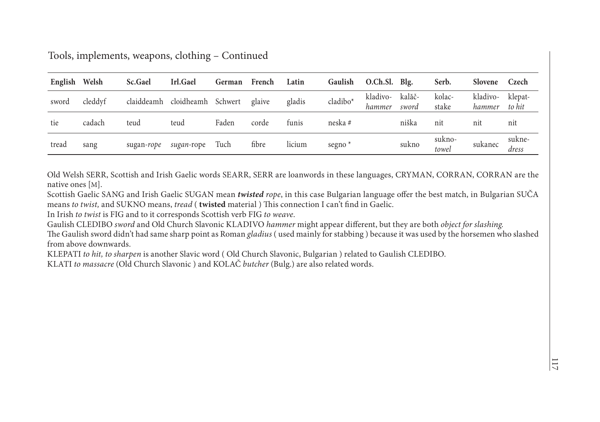| English Welsh |         | Sc.Gael | Irl.Gael                             | German | French | Latin  | Gaulish   | O.Ch.Sl. Blg.      |                 | Serb.           | Slovene            | Czech             |
|---------------|---------|---------|--------------------------------------|--------|--------|--------|-----------|--------------------|-----------------|-----------------|--------------------|-------------------|
| sword         | cleddyf |         | claiddeamh cloidheamh Schwert glaive |        |        | gladis | cladibo*  | kladivo-<br>hammer | kalăč-<br>sword | kolac-<br>stake | kladivo-<br>hammer | klepat-<br>to hit |
| tie           | cadach  | teud    | teud                                 | Faden  | corde  | funis  | neska #   |                    | niška           | nit             | nit                | nit               |
| tread         | sang    |         | sugan-rope sugan-rope Tuch           |        | fibre  | licium | segno $*$ |                    | sukno           | sukno-<br>towel | sukanec            | sukne-<br>dress   |

Tools, implements, weapons, clothing – Continued

Old Welsh SERR, Scottish and Irish Gaelic words SEARR, SERR are loanwords in these languages, CRYMAN, CORRAN, CORRAN are the native ones [ M].

Scottish Gaelic SANG and Irish Gaelic SUGAN mean *twisted rope*, in this case Bulgarian language offer the best match, in Bulgarian SUČA means *to twist,* and SUKNO means, *tread* ( **twisted** material ) This connection I can't find in Gaelic.

In Irish *to twist* is FIG and to it corresponds Scottish verb FIG *to weave*.

Gaulish CLEDIBO *sword* and Old Church Slavonic KLADIVO *hammer* might appear different, but they are both *object for slashing.* The Gaulish sword didn't had same sharp point as Roman *gladius* ( used mainly for stabbing ) because it was used by the horsemen who slashed from above downwards.

KLEPATI *to hit, to sharpen* is another Slavic word ( Old Church Slavonic, Bulgarian ) related to Gaulish CLEDIBO.

KLATI *to massacre* (Old Church Slavonic ) and KOLAČ *butcher* (Bulg.) are also related words.